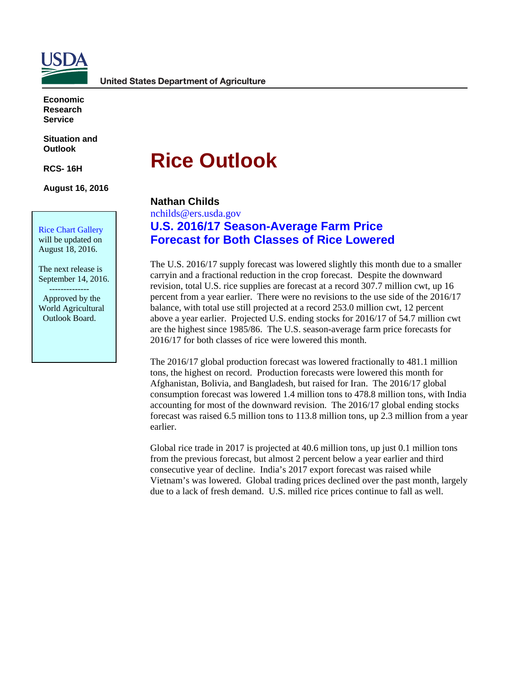

**Economic Research Service**

**Situation and Outlook** 

**RCS- 16H**

**August 16, 2016** 

Rice Chart Gallery will be updated on

August 18, 2016.

The next release is September 14, 2016.

 -------------- Approved by the World Agricultural Outlook Board.

# **Rice Outlook**

#### **Nathan Childs**

nchilds@ers.usda.gov

# **U.S. 2016/17 Season-Average Farm Price Forecast for Both Classes of Rice Lowered**

The U.S. 2016/17 supply forecast was lowered slightly this month due to a smaller carryin and a fractional reduction in the crop forecast. Despite the downward revision, total U.S. rice supplies are forecast at a record 307.7 million cwt, up 16 percent from a year earlier. There were no revisions to the use side of the 2016/17 balance, with total use still projected at a record 253.0 million cwt, 12 percent above a year earlier. Projected U.S. ending stocks for 2016/17 of 54.7 million cwt are the highest since 1985/86. The U.S. season-average farm price forecasts for 2016/17 for both classes of rice were lowered this month.

The 2016/17 global production forecast was lowered fractionally to 481.1 million tons, the highest on record. Production forecasts were lowered this month for Afghanistan, Bolivia, and Bangladesh, but raised for Iran. The 2016/17 global consumption forecast was lowered 1.4 million tons to 478.8 million tons, with India accounting for most of the downward revision. The 2016/17 global ending stocks forecast was raised 6.5 million tons to 113.8 million tons, up 2.3 million from a year earlier.

Global rice trade in 2017 is projected at 40.6 million tons, up just 0.1 million tons from the previous forecast, but almost 2 percent below a year earlier and third consecutive year of decline. India's 2017 export forecast was raised while Vietnam's was lowered. Global trading prices declined over the past month, largely due to a lack of fresh demand. U.S. milled rice prices continue to fall as well.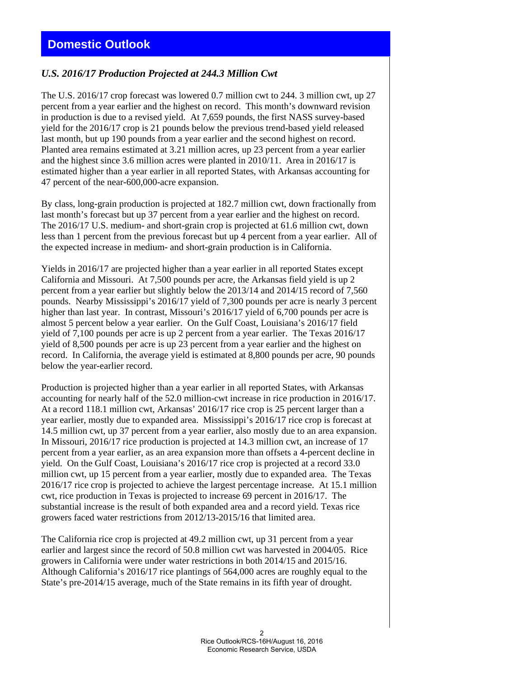## **Domestic Outlook**

#### *U.S. 2016/17 Production Projected at 244.3 Million Cwt*

The U.S. 2016/17 crop forecast was lowered 0.7 million cwt to 244. 3 million cwt, up 27 percent from a year earlier and the highest on record. This month's downward revision in production is due to a revised yield. At 7,659 pounds, the first NASS survey-based yield for the 2016/17 crop is 21 pounds below the previous trend-based yield released last month, but up 190 pounds from a year earlier and the second highest on record. Planted area remains estimated at 3.21 million acres, up 23 percent from a year earlier and the highest since 3.6 million acres were planted in 2010/11. Area in 2016/17 is estimated higher than a year earlier in all reported States, with Arkansas accounting for 47 percent of the near-600,000-acre expansion.

By class, long-grain production is projected at 182.7 million cwt, down fractionally from last month's forecast but up 37 percent from a year earlier and the highest on record. The 2016/17 U.S. medium- and short-grain crop is projected at 61.6 million cwt, down less than 1 percent from the previous forecast but up 4 percent from a year earlier. All of the expected increase in medium- and short-grain production is in California.

Yields in 2016/17 are projected higher than a year earlier in all reported States except California and Missouri. At 7,500 pounds per acre, the Arkansas field yield is up 2 percent from a year earlier but slightly below the 2013/14 and 2014/15 record of 7,560 pounds. Nearby Mississippi's 2016/17 yield of 7,300 pounds per acre is nearly 3 percent higher than last year. In contrast, Missouri's 2016/17 yield of 6,700 pounds per acre is almost 5 percent below a year earlier. On the Gulf Coast, Louisiana's 2016/17 field yield of 7,100 pounds per acre is up 2 percent from a year earlier. The Texas 2016/17 yield of 8,500 pounds per acre is up 23 percent from a year earlier and the highest on record. In California, the average yield is estimated at 8,800 pounds per acre, 90 pounds below the year-earlier record.

Production is projected higher than a year earlier in all reported States, with Arkansas accounting for nearly half of the 52.0 million-cwt increase in rice production in 2016/17. At a record 118.1 million cwt, Arkansas' 2016/17 rice crop is 25 percent larger than a year earlier, mostly due to expanded area. Mississippi's 2016/17 rice crop is forecast at 14.5 million cwt, up 37 percent from a year earlier, also mostly due to an area expansion. In Missouri, 2016/17 rice production is projected at 14.3 million cwt, an increase of 17 percent from a year earlier, as an area expansion more than offsets a 4-percent decline in yield. On the Gulf Coast, Louisiana's 2016/17 rice crop is projected at a record 33.0 million cwt, up 15 percent from a year earlier, mostly due to expanded area. The Texas 2016/17 rice crop is projected to achieve the largest percentage increase. At 15.1 million cwt, rice production in Texas is projected to increase 69 percent in 2016/17. The substantial increase is the result of both expanded area and a record yield. Texas rice growers faced water restrictions from 2012/13-2015/16 that limited area.

The California rice crop is projected at 49.2 million cwt, up 31 percent from a year earlier and largest since the record of 50.8 million cwt was harvested in 2004/05. Rice growers in California were under water restrictions in both 2014/15 and 2015/16. Although California's 2016/17 rice plantings of 564,000 acres are roughly equal to the State's pre-2014/15 average, much of the State remains in its fifth year of drought.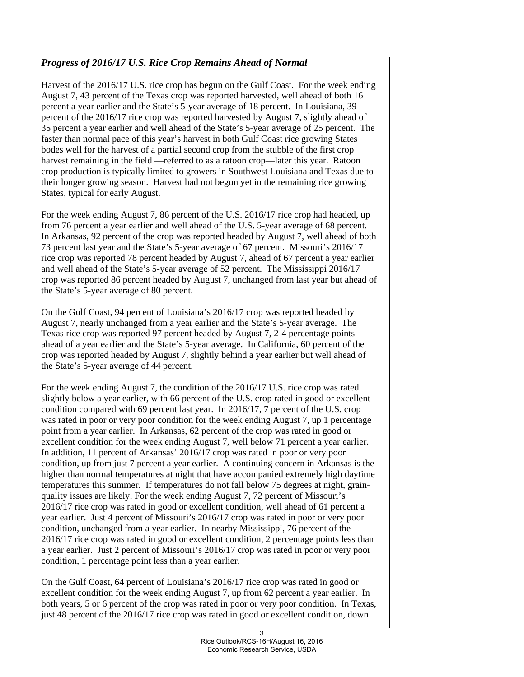#### *Progress of 2016/17 U.S. Rice Crop Remains Ahead of Normal*

Harvest of the 2016/17 U.S. rice crop has begun on the Gulf Coast. For the week ending August 7, 43 percent of the Texas crop was reported harvested, well ahead of both 16 percent a year earlier and the State's 5-year average of 18 percent. In Louisiana, 39 percent of the 2016/17 rice crop was reported harvested by August 7, slightly ahead of 35 percent a year earlier and well ahead of the State's 5-year average of 25 percent. The faster than normal pace of this year's harvest in both Gulf Coast rice growing States bodes well for the harvest of a partial second crop from the stubble of the first crop harvest remaining in the field —referred to as a ratoon crop—later this year. Ratoon crop production is typically limited to growers in Southwest Louisiana and Texas due to their longer growing season. Harvest had not begun yet in the remaining rice growing States, typical for early August.

For the week ending August 7, 86 percent of the U.S. 2016/17 rice crop had headed, up from 76 percent a year earlier and well ahead of the U.S. 5-year average of 68 percent. In Arkansas, 92 percent of the crop was reported headed by August 7, well ahead of both 73 percent last year and the State's 5-year average of 67 percent. Missouri's 2016/17 rice crop was reported 78 percent headed by August 7, ahead of 67 percent a year earlier and well ahead of the State's 5-year average of 52 percent. The Mississippi 2016/17 crop was reported 86 percent headed by August 7, unchanged from last year but ahead of the State's 5-year average of 80 percent.

On the Gulf Coast, 94 percent of Louisiana's 2016/17 crop was reported headed by August 7, nearly unchanged from a year earlier and the State's 5-year average. The Texas rice crop was reported 97 percent headed by August 7, 2-4 percentage points ahead of a year earlier and the State's 5-year average. In California, 60 percent of the crop was reported headed by August 7, slightly behind a year earlier but well ahead of the State's 5-year average of 44 percent.

For the week ending August 7, the condition of the 2016/17 U.S. rice crop was rated slightly below a year earlier, with 66 percent of the U.S. crop rated in good or excellent condition compared with 69 percent last year. In 2016/17, 7 percent of the U.S. crop was rated in poor or very poor condition for the week ending August 7, up 1 percentage point from a year earlier. In Arkansas, 62 percent of the crop was rated in good or excellent condition for the week ending August 7, well below 71 percent a year earlier. In addition, 11 percent of Arkansas' 2016/17 crop was rated in poor or very poor condition, up from just 7 percent a year earlier. A continuing concern in Arkansas is the higher than normal temperatures at night that have accompanied extremely high daytime temperatures this summer. If temperatures do not fall below 75 degrees at night, grainquality issues are likely. For the week ending August 7, 72 percent of Missouri's 2016/17 rice crop was rated in good or excellent condition, well ahead of 61 percent a year earlier. Just 4 percent of Missouri's 2016/17 crop was rated in poor or very poor condition, unchanged from a year earlier. In nearby Mississippi, 76 percent of the 2016/17 rice crop was rated in good or excellent condition, 2 percentage points less than a year earlier. Just 2 percent of Missouri's 2016/17 crop was rated in poor or very poor condition, 1 percentage point less than a year earlier.

On the Gulf Coast, 64 percent of Louisiana's 2016/17 rice crop was rated in good or excellent condition for the week ending August 7, up from 62 percent a year earlier. In both years, 5 or 6 percent of the crop was rated in poor or very poor condition. In Texas, just 48 percent of the 2016/17 rice crop was rated in good or excellent condition, down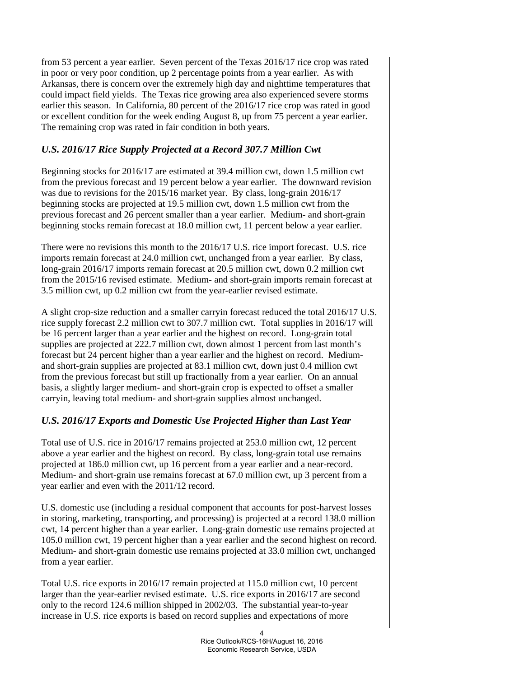from 53 percent a year earlier. Seven percent of the Texas 2016/17 rice crop was rated in poor or very poor condition, up 2 percentage points from a year earlier. As with Arkansas, there is concern over the extremely high day and nighttime temperatures that could impact field yields. The Texas rice growing area also experienced severe storms earlier this season. In California, 80 percent of the 2016/17 rice crop was rated in good or excellent condition for the week ending August 8, up from 75 percent a year earlier. The remaining crop was rated in fair condition in both years.

#### *U.S. 2016/17 Rice Supply Projected at a Record 307.7 Million Cwt*

Beginning stocks for 2016/17 are estimated at 39.4 million cwt, down 1.5 million cwt from the previous forecast and 19 percent below a year earlier. The downward revision was due to revisions for the 2015/16 market year. By class, long-grain 2016/17 beginning stocks are projected at 19.5 million cwt, down 1.5 million cwt from the previous forecast and 26 percent smaller than a year earlier. Medium- and short-grain beginning stocks remain forecast at 18.0 million cwt, 11 percent below a year earlier.

There were no revisions this month to the 2016/17 U.S. rice import forecast. U.S. rice imports remain forecast at 24.0 million cwt, unchanged from a year earlier. By class, long-grain 2016/17 imports remain forecast at 20.5 million cwt, down 0.2 million cwt from the 2015/16 revised estimate. Medium- and short-grain imports remain forecast at 3.5 million cwt, up 0.2 million cwt from the year-earlier revised estimate.

A slight crop-size reduction and a smaller carryin forecast reduced the total 2016/17 U.S. rice supply forecast 2.2 million cwt to 307.7 million cwt. Total supplies in 2016/17 will be 16 percent larger than a year earlier and the highest on record. Long-grain total supplies are projected at 222.7 million cwt, down almost 1 percent from last month's forecast but 24 percent higher than a year earlier and the highest on record. Mediumand short-grain supplies are projected at 83.1 million cwt, down just 0.4 million cwt from the previous forecast but still up fractionally from a year earlier. On an annual basis, a slightly larger medium- and short-grain crop is expected to offset a smaller carryin, leaving total medium- and short-grain supplies almost unchanged.

## *U.S. 2016/17 Exports and Domestic Use Projected Higher than Last Year*

Total use of U.S. rice in 2016/17 remains projected at 253.0 million cwt, 12 percent above a year earlier and the highest on record. By class, long-grain total use remains projected at 186.0 million cwt, up 16 percent from a year earlier and a near-record. Medium- and short-grain use remains forecast at 67.0 million cwt, up 3 percent from a year earlier and even with the 2011/12 record.

U.S. domestic use (including a residual component that accounts for post-harvest losses in storing, marketing, transporting, and processing) is projected at a record 138.0 million cwt, 14 percent higher than a year earlier. Long-grain domestic use remains projected at 105.0 million cwt, 19 percent higher than a year earlier and the second highest on record. Medium- and short-grain domestic use remains projected at 33.0 million cwt, unchanged from a year earlier.

Total U.S. rice exports in 2016/17 remain projected at 115.0 million cwt, 10 percent larger than the year-earlier revised estimate. U.S. rice exports in 2016/17 are second only to the record 124.6 million shipped in 2002/03. The substantial year-to-year increase in U.S. rice exports is based on record supplies and expectations of more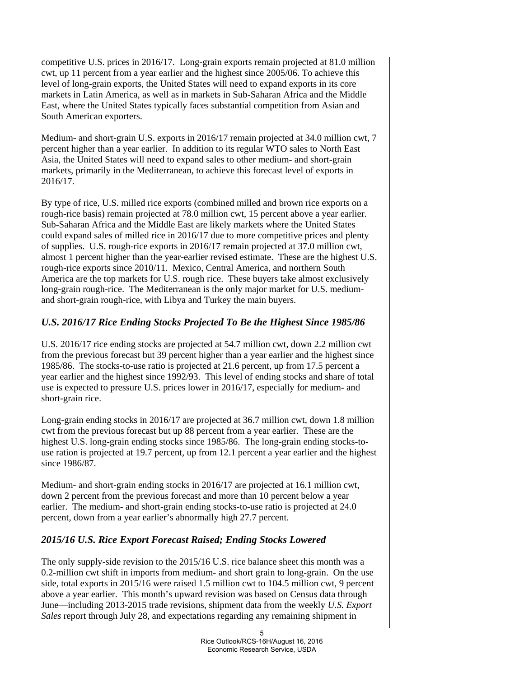competitive U.S. prices in 2016/17. Long-grain exports remain projected at 81.0 million cwt, up 11 percent from a year earlier and the highest since 2005/06. To achieve this level of long-grain exports, the United States will need to expand exports in its core markets in Latin America, as well as in markets in Sub-Saharan Africa and the Middle East, where the United States typically faces substantial competition from Asian and South American exporters.

Medium- and short-grain U.S. exports in 2016/17 remain projected at 34.0 million cwt, 7 percent higher than a year earlier. In addition to its regular WTO sales to North East Asia, the United States will need to expand sales to other medium- and short-grain markets, primarily in the Mediterranean, to achieve this forecast level of exports in 2016/17.

By type of rice, U.S. milled rice exports (combined milled and brown rice exports on a rough-rice basis) remain projected at 78.0 million cwt, 15 percent above a year earlier. Sub-Saharan Africa and the Middle East are likely markets where the United States could expand sales of milled rice in 2016/17 due to more competitive prices and plenty of supplies. U.S. rough-rice exports in 2016/17 remain projected at 37.0 million cwt, almost 1 percent higher than the year-earlier revised estimate. These are the highest U.S. rough-rice exports since 2010/11. Mexico, Central America, and northern South America are the top markets for U.S. rough rice. These buyers take almost exclusively long-grain rough-rice. The Mediterranean is the only major market for U.S. mediumand short-grain rough-rice, with Libya and Turkey the main buyers.

#### *U.S. 2016/17 Rice Ending Stocks Projected To Be the Highest Since 1985/86*

U.S. 2016/17 rice ending stocks are projected at 54.7 million cwt, down 2.2 million cwt from the previous forecast but 39 percent higher than a year earlier and the highest since 1985/86. The stocks-to-use ratio is projected at 21.6 percent, up from 17.5 percent a year earlier and the highest since 1992/93. This level of ending stocks and share of total use is expected to pressure U.S. prices lower in 2016/17, especially for medium- and short-grain rice.

Long-grain ending stocks in 2016/17 are projected at 36.7 million cwt, down 1.8 million cwt from the previous forecast but up 88 percent from a year earlier. These are the highest U.S. long-grain ending stocks since 1985/86. The long-grain ending stocks-touse ration is projected at 19.7 percent, up from 12.1 percent a year earlier and the highest since 1986/87.

Medium- and short-grain ending stocks in 2016/17 are projected at 16.1 million cwt, down 2 percent from the previous forecast and more than 10 percent below a year earlier. The medium- and short-grain ending stocks-to-use ratio is projected at 24.0 percent, down from a year earlier's abnormally high 27.7 percent.

#### *2015/16 U.S. Rice Export Forecast Raised; Ending Stocks Lowered*

The only supply-side revision to the 2015/16 U.S. rice balance sheet this month was a 0.2-million cwt shift in imports from medium- and short grain to long-grain. On the use side, total exports in 2015/16 were raised 1.5 million cwt to 104.5 million cwt, 9 percent above a year earlier. This month's upward revision was based on Census data through June—including 2013-2015 trade revisions, shipment data from the weekly *U.S. Export Sales* report through July 28, and expectations regarding any remaining shipment in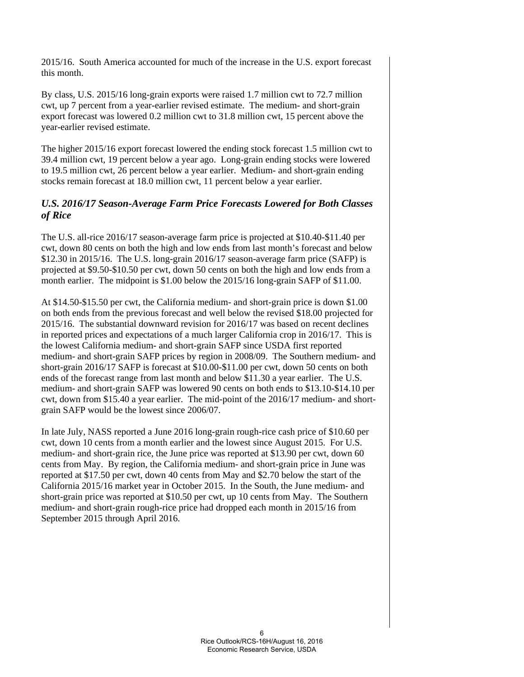2015/16. South America accounted for much of the increase in the U.S. export forecast this month.

By class, U.S. 2015/16 long-grain exports were raised 1.7 million cwt to 72.7 million cwt, up 7 percent from a year-earlier revised estimate. The medium- and short-grain export forecast was lowered 0.2 million cwt to 31.8 million cwt, 15 percent above the year-earlier revised estimate.

The higher 2015/16 export forecast lowered the ending stock forecast 1.5 million cwt to 39.4 million cwt, 19 percent below a year ago. Long-grain ending stocks were lowered to 19.5 million cwt, 26 percent below a year earlier. Medium- and short-grain ending stocks remain forecast at 18.0 million cwt, 11 percent below a year earlier.

#### *U.S. 2016/17 Season-Average Farm Price Forecasts Lowered for Both Classes of Rice*

The U.S. all-rice 2016/17 season-average farm price is projected at \$10.40-\$11.40 per cwt, down 80 cents on both the high and low ends from last month's forecast and below \$12.30 in 2015/16. The U.S. long-grain 2016/17 season-average farm price (SAFP) is projected at \$9.50-\$10.50 per cwt, down 50 cents on both the high and low ends from a month earlier. The midpoint is \$1.00 below the 2015/16 long-grain SAFP of \$11.00.

At \$14.50-\$15.50 per cwt, the California medium- and short-grain price is down \$1.00 on both ends from the previous forecast and well below the revised \$18.00 projected for 2015/16. The substantial downward revision for 2016/17 was based on recent declines in reported prices and expectations of a much larger California crop in 2016/17. This is the lowest California medium- and short-grain SAFP since USDA first reported medium- and short-grain SAFP prices by region in 2008/09. The Southern medium- and short-grain 2016/17 SAFP is forecast at \$10.00-\$11.00 per cwt, down 50 cents on both ends of the forecast range from last month and below \$11.30 a year earlier. The U.S. medium- and short-grain SAFP was lowered 90 cents on both ends to \$13.10-\$14.10 per cwt, down from \$15.40 a year earlier. The mid-point of the 2016/17 medium- and shortgrain SAFP would be the lowest since 2006/07.

In late July, NASS reported a June 2016 long-grain rough-rice cash price of \$10.60 per cwt, down 10 cents from a month earlier and the lowest since August 2015. For U.S. medium- and short-grain rice, the June price was reported at \$13.90 per cwt, down 60 cents from May. By region, the California medium- and short-grain price in June was reported at \$17.50 per cwt, down 40 cents from May and \$2.70 below the start of the California 2015/16 market year in October 2015. In the South, the June medium- and short-grain price was reported at \$10.50 per cwt, up 10 cents from May. The Southern medium- and short-grain rough-rice price had dropped each month in 2015/16 from September 2015 through April 2016.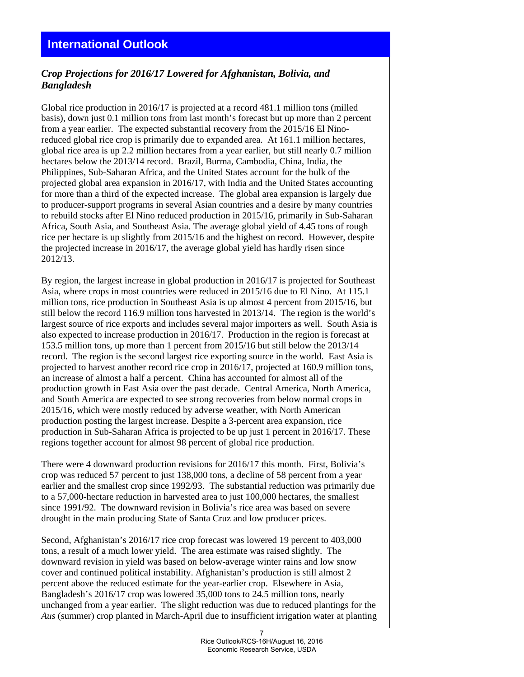#### *Crop Projections for 2016/17 Lowered for Afghanistan, Bolivia, and Bangladesh*

Global rice production in 2016/17 is projected at a record 481.1 million tons (milled basis), down just 0.1 million tons from last month's forecast but up more than 2 percent from a year earlier. The expected substantial recovery from the 2015/16 El Ninoreduced global rice crop is primarily due to expanded area. At 161.1 million hectares, global rice area is up 2.2 million hectares from a year earlier, but still nearly 0.7 million hectares below the 2013/14 record. Brazil, Burma, Cambodia, China, India, the Philippines, Sub-Saharan Africa, and the United States account for the bulk of the projected global area expansion in 2016/17, with India and the United States accounting for more than a third of the expected increase. The global area expansion is largely due to producer-support programs in several Asian countries and a desire by many countries to rebuild stocks after El Nino reduced production in 2015/16, primarily in Sub-Saharan Africa, South Asia, and Southeast Asia. The average global yield of 4.45 tons of rough rice per hectare is up slightly from 2015/16 and the highest on record. However, despite the projected increase in 2016/17, the average global yield has hardly risen since 2012/13.

By region, the largest increase in global production in 2016/17 is projected for Southeast Asia, where crops in most countries were reduced in 2015/16 due to El Nino. At 115.1 million tons, rice production in Southeast Asia is up almost 4 percent from 2015/16, but still below the record 116.9 million tons harvested in 2013/14. The region is the world's largest source of rice exports and includes several major importers as well. South Asia is also expected to increase production in 2016/17. Production in the region is forecast at 153.5 million tons, up more than 1 percent from 2015/16 but still below the 2013/14 record. The region is the second largest rice exporting source in the world. East Asia is projected to harvest another record rice crop in 2016/17, projected at 160.9 million tons, an increase of almost a half a percent. China has accounted for almost all of the production growth in East Asia over the past decade. Central America, North America, and South America are expected to see strong recoveries from below normal crops in 2015/16, which were mostly reduced by adverse weather, with North American production posting the largest increase. Despite a 3-percent area expansion, rice production in Sub-Saharan Africa is projected to be up just 1 percent in 2016/17. These regions together account for almost 98 percent of global rice production.

There were 4 downward production revisions for 2016/17 this month. First, Bolivia's crop was reduced 57 percent to just 138,000 tons, a decline of 58 percent from a year earlier and the smallest crop since 1992/93. The substantial reduction was primarily due to a 57,000-hectare reduction in harvested area to just 100,000 hectares, the smallest since 1991/92. The downward revision in Bolivia's rice area was based on severe drought in the main producing State of Santa Cruz and low producer prices.

Second, Afghanistan's 2016/17 rice crop forecast was lowered 19 percent to 403,000 tons, a result of a much lower yield. The area estimate was raised slightly. The downward revision in yield was based on below-average winter rains and low snow cover and continued political instability. Afghanistan's production is still almost 2 percent above the reduced estimate for the year-earlier crop. Elsewhere in Asia, Bangladesh's 2016/17 crop was lowered 35,000 tons to 24.5 million tons, nearly unchanged from a year earlier. The slight reduction was due to reduced plantings for the *Aus* (summer) crop planted in March-April due to insufficient irrigation water at planting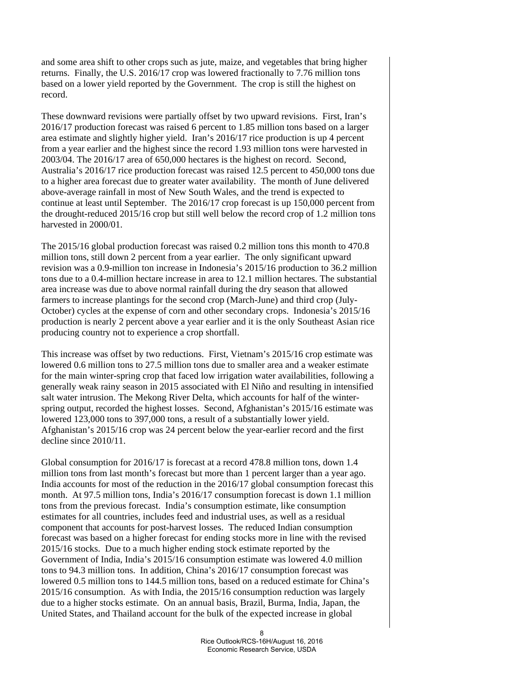and some area shift to other crops such as jute, maize, and vegetables that bring higher returns. Finally, the U.S. 2016/17 crop was lowered fractionally to 7.76 million tons based on a lower yield reported by the Government. The crop is still the highest on record.

These downward revisions were partially offset by two upward revisions. First, Iran's 2016/17 production forecast was raised 6 percent to 1.85 million tons based on a larger area estimate and slightly higher yield. Iran's 2016/17 rice production is up 4 percent from a year earlier and the highest since the record 1.93 million tons were harvested in 2003/04. The 2016/17 area of 650,000 hectares is the highest on record. Second, Australia's 2016/17 rice production forecast was raised 12.5 percent to 450,000 tons due to a higher area forecast due to greater water availability. The month of June delivered above-average rainfall in most of New South Wales, and the trend is expected to continue at least until September. The 2016/17 crop forecast is up 150,000 percent from the drought-reduced 2015/16 crop but still well below the record crop of 1.2 million tons harvested in 2000/01.

The 2015/16 global production forecast was raised 0.2 million tons this month to 470.8 million tons, still down 2 percent from a year earlier. The only significant upward revision was a 0.9-million ton increase in Indonesia's 2015/16 production to 36.2 million tons due to a 0.4-million hectare increase in area to 12.1 million hectares. The substantial area increase was due to above normal rainfall during the dry season that allowed farmers to increase plantings for the second crop (March-June) and third crop (July-October) cycles at the expense of corn and other secondary crops. Indonesia's 2015/16 production is nearly 2 percent above a year earlier and it is the only Southeast Asian rice producing country not to experience a crop shortfall.

This increase was offset by two reductions. First, Vietnam's 2015/16 crop estimate was lowered 0.6 million tons to 27.5 million tons due to smaller area and a weaker estimate for the main winter-spring crop that faced low irrigation water availabilities, following a generally weak rainy season in 2015 associated with El Niño and resulting in intensified salt water intrusion. The Mekong River Delta, which accounts for half of the winterspring output, recorded the highest losses. Second, Afghanistan's 2015/16 estimate was lowered 123,000 tons to 397,000 tons, a result of a substantially lower yield. Afghanistan's 2015/16 crop was 24 percent below the year-earlier record and the first decline since 2010/11.

Global consumption for 2016/17 is forecast at a record 478.8 million tons, down 1.4 million tons from last month's forecast but more than 1 percent larger than a year ago. India accounts for most of the reduction in the 2016/17 global consumption forecast this month. At 97.5 million tons, India's 2016/17 consumption forecast is down 1.1 million tons from the previous forecast. India's consumption estimate, like consumption estimates for all countries, includes feed and industrial uses, as well as a residual component that accounts for post-harvest losses. The reduced Indian consumption forecast was based on a higher forecast for ending stocks more in line with the revised 2015/16 stocks. Due to a much higher ending stock estimate reported by the Government of India, India's 2015/16 consumption estimate was lowered 4.0 million tons to 94.3 million tons. In addition, China's 2016/17 consumption forecast was lowered 0.5 million tons to 144.5 million tons, based on a reduced estimate for China's 2015/16 consumption. As with India, the 2015/16 consumption reduction was largely due to a higher stocks estimate. On an annual basis, Brazil, Burma, India, Japan, the United States, and Thailand account for the bulk of the expected increase in global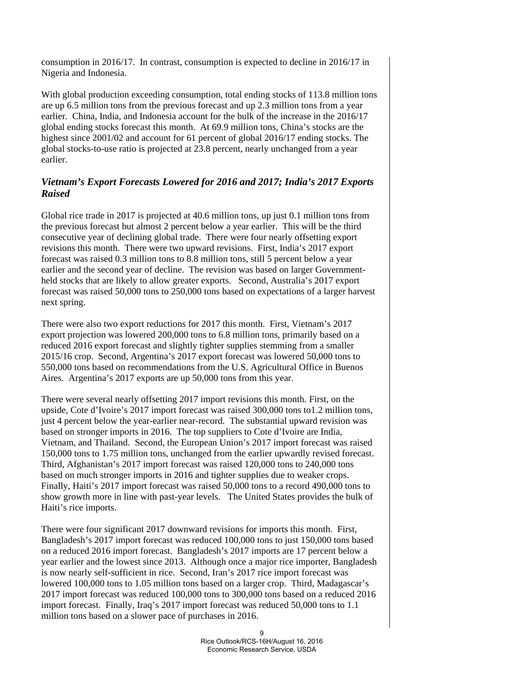consumption in 2016/17. In contrast, consumption is expected to decline in 2016/17 in Nigeria and Indonesia.

With global production exceeding consumption, total ending stocks of 113.8 million tons are up 6.5 million tons from the previous forecast and up 2.3 million tons from a year earlier. China, India, and Indonesia account for the bulk of the increase in the 2016/17 global ending stocks forecast this month. At 69.9 million tons, China's stocks are the highest since 2001/02 and account for 61 percent of global 2016/17 ending stocks. The global stocks-to-use ratio is projected at 23.8 percent, nearly unchanged from a year earlier.

#### *Vietnam's Export Forecasts Lowered for 2016 and 2017; India's 2017 Exports Raised*

Global rice trade in 2017 is projected at 40.6 million tons, up just 0.1 million tons from the previous forecast but almost 2 percent below a year earlier. This will be the third consecutive year of declining global trade. There were four nearly offsetting export revisions this month. There were two upward revisions. First, India's 2017 export forecast was raised 0.3 million tons to 8.8 million tons, still 5 percent below a year earlier and the second year of decline. The revision was based on larger Governmentheld stocks that are likely to allow greater exports. Second, Australia's 2017 export forecast was raised 50,000 tons to 250,000 tons based on expectations of a larger harvest next spring.

There were also two export reductions for 2017 this month. First, Vietnam's 2017 export projection was lowered 200,000 tons to 6.8 million tons, primarily based on a reduced 2016 export forecast and slightly tighter supplies stemming from a smaller 2015/16 crop. Second, Argentina's 2017 export forecast was lowered 50,000 tons to 550,000 tons based on recommendations from the U.S. Agricultural Office in Buenos Aires. Argentina's 2017 exports are up 50,000 tons from this year.

There were several nearly offsetting 2017 import revisions this month. First, on the upside, Cote d'Ivoire's 2017 import forecast was raised 300,000 tons to1.2 million tons, just 4 percent below the year-earlier near-record. The substantial upward revision was based on stronger imports in 2016. The top suppliers to Cote d'Ivoire are India, Vietnam, and Thailand. Second, the European Union's 2017 import forecast was raised 150,000 tons to 1.75 million tons, unchanged from the earlier upwardly revised forecast. Third, Afghanistan's 2017 import forecast was raised 120,000 tons to 240,000 tons based on much stronger imports in 2016 and tighter supplies due to weaker crops. Finally, Haiti's 2017 import forecast was raised 50,000 tons to a record 490,000 tons to show growth more in line with past-year levels. The United States provides the bulk of Haiti's rice imports.

There were four significant 2017 downward revisions for imports this month. First, Bangladesh's 2017 import forecast was reduced 100,000 tons to just 150,000 tons based on a reduced 2016 import forecast. Bangladesh's 2017 imports are 17 percent below a year earlier and the lowest since 2013. Although once a major rice importer, Bangladesh is now nearly self-sufficient in rice. Second, Iran's 2017 rice import forecast was lowered 100,000 tons to 1.05 million tons based on a larger crop. Third, Madagascar's 2017 import forecast was reduced 100,000 tons to 300,000 tons based on a reduced 2016 import forecast. Finally, Iraq's 2017 import forecast was reduced 50,000 tons to 1.1 million tons based on a slower pace of purchases in 2016.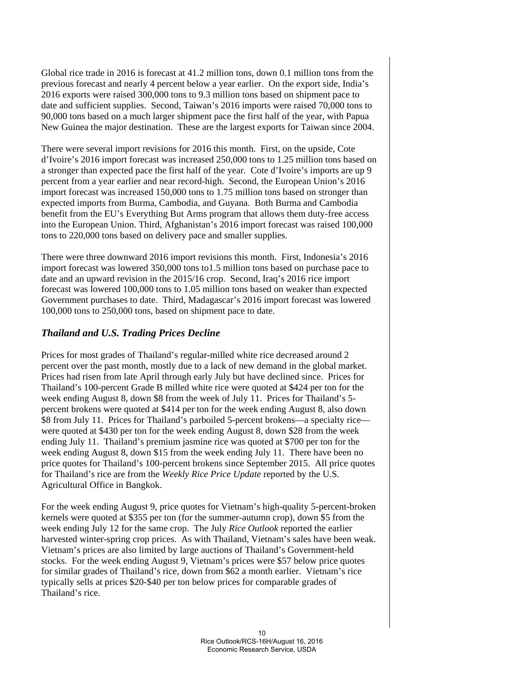Global rice trade in 2016 is forecast at 41.2 million tons, down 0.1 million tons from the previous forecast and nearly 4 percent below a year earlier. On the export side, India's 2016 exports were raised 300,000 tons to 9.3 million tons based on shipment pace to date and sufficient supplies. Second, Taiwan's 2016 imports were raised 70,000 tons to 90,000 tons based on a much larger shipment pace the first half of the year, with Papua New Guinea the major destination. These are the largest exports for Taiwan since 2004.

There were several import revisions for 2016 this month. First, on the upside, Cote d'Ivoire's 2016 import forecast was increased 250,000 tons to 1.25 million tons based on a stronger than expected pace the first half of the year. Cote d'Ivoire's imports are up 9 percent from a year earlier and near record-high. Second, the European Union's 2016 import forecast was increased 150,000 tons to 1.75 million tons based on stronger than expected imports from Burma, Cambodia, and Guyana. Both Burma and Cambodia benefit from the EU's Everything But Arms program that allows them duty-free access into the European Union. Third, Afghanistan's 2016 import forecast was raised 100,000 tons to 220,000 tons based on delivery pace and smaller supplies.

There were three downward 2016 import revisions this month. First, Indonesia's 2016 import forecast was lowered 350,000 tons to1.5 million tons based on purchase pace to date and an upward revision in the 2015/16 crop. Second, Iraq's 2016 rice import forecast was lowered 100,000 tons to 1.05 million tons based on weaker than expected Government purchases to date. Third, Madagascar's 2016 import forecast was lowered 100,000 tons to 250,000 tons, based on shipment pace to date.

#### *Thailand and U.S. Trading Prices Decline*

Prices for most grades of Thailand's regular-milled white rice decreased around 2 percent over the past month, mostly due to a lack of new demand in the global market. Prices had risen from late April through early July but have declined since. Prices for Thailand's 100-percent Grade B milled white rice were quoted at \$424 per ton for the week ending August 8, down \$8 from the week of July 11. Prices for Thailand's 5 percent brokens were quoted at \$414 per ton for the week ending August 8, also down \$8 from July 11. Prices for Thailand's parboiled 5-percent brokens—a specialty rice were quoted at \$430 per ton for the week ending August 8, down \$28 from the week ending July 11. Thailand's premium jasmine rice was quoted at \$700 per ton for the week ending August 8, down \$15 from the week ending July 11. There have been no price quotes for Thailand's 100-percent brokens since September 2015. All price quotes for Thailand's rice are from the *Weekly Rice Price Update* reported by the U.S. Agricultural Office in Bangkok.

For the week ending August 9, price quotes for Vietnam's high-quality 5-percent-broken kernels were quoted at \$355 per ton (for the summer-autumn crop), down \$5 from the week ending July 12 for the same crop. The July *Rice Outlook* reported the earlier harvested winter-spring crop prices. As with Thailand, Vietnam's sales have been weak. Vietnam's prices are also limited by large auctions of Thailand's Government-held stocks. For the week ending August 9, Vietnam's prices were \$57 below price quotes for similar grades of Thailand's rice, down from \$62 a month earlier. Vietnam's rice typically sells at prices \$20-\$40 per ton below prices for comparable grades of Thailand's rice.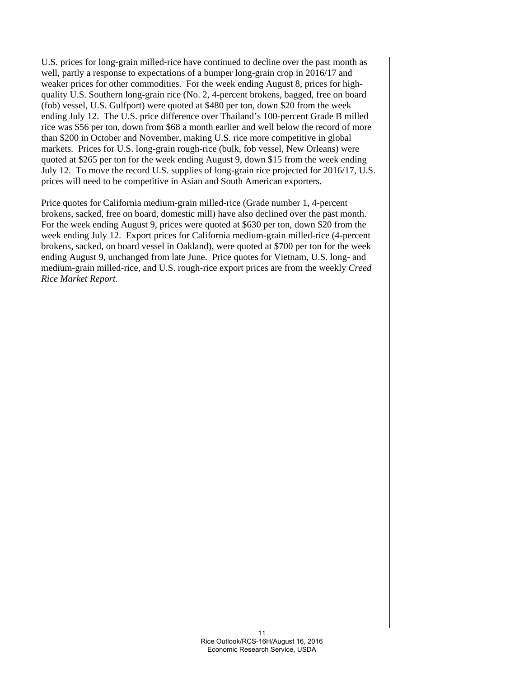U.S. prices for long-grain milled-rice have continued to decline over the past month as well, partly a response to expectations of a bumper long-grain crop in 2016/17 and weaker prices for other commodities. For the week ending August 8, prices for highquality U.S. Southern long-grain rice (No. 2, 4-percent brokens, bagged, free on board (fob) vessel, U.S. Gulfport) were quoted at \$480 per ton, down \$20 from the week ending July 12. The U.S. price difference over Thailand's 100-percent Grade B milled rice was \$56 per ton, down from \$68 a month earlier and well below the record of more than \$200 in October and November, making U.S. rice more competitive in global markets. Prices for U.S. long-grain rough-rice (bulk, fob vessel, New Orleans) were quoted at \$265 per ton for the week ending August 9, down \$15 from the week ending July 12. To move the record U.S. supplies of long-grain rice projected for 2016/17, U.S. prices will need to be competitive in Asian and South American exporters.

Price quotes for California medium-grain milled-rice (Grade number 1, 4-percent brokens, sacked, free on board, domestic mill) have also declined over the past month. For the week ending August 9, prices were quoted at \$630 per ton, down \$20 from the week ending July 12. Export prices for California medium-grain milled-rice (4-percent brokens, sacked, on board vessel in Oakland), were quoted at \$700 per ton for the week ending August 9, unchanged from late June. Price quotes for Vietnam, U.S. long- and medium-grain milled-rice, and U.S. rough-rice export prices are from the weekly *Creed Rice Market Report.*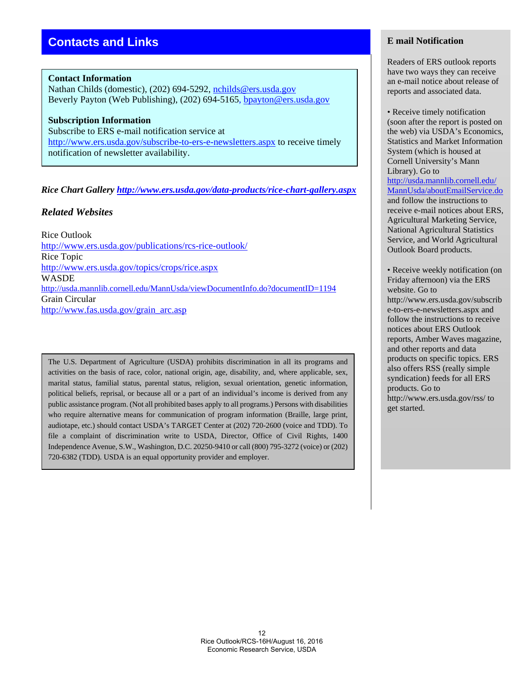## **Contacts and Links**

#### **Contact Information**

Nathan Childs (domestic), (202) 694-5292, [nchilds@ers.usda.gov](mailto:nchilds@ers.usda.gov) Beverly Payton (Web Publishing), (202) 694-5165, [bpayton@ers.usda.gov](mailto:bpayton@ers.usda.gov)

# **Subscription Information**

Subscribe to ERS e-mail notification service at <http://www.ers.usda.gov/subscribe-to-ers-e-newsletters.aspx> to receive timely notification of newsletter availability.

#### *Rice Chart Gallery<http://www.ers.usda.gov/data-products/rice-chart-gallery.aspx>*

#### *Related Websites*

Rice Outlook <http://www.ers.usda.gov/publications/rcs-rice-outlook/> Rice Topic <http://www.ers.usda.gov/topics/crops/rice.aspx> **WASDE** <http://usda.mannlib.cornell.edu/MannUsda/viewDocumentInfo.do?documentID=1194> Grain Circular [http://www.fas.usda.gov/grain\\_arc.asp](http://www.fas.usda.gov/grain_arc.asp)

The U.S. Department of Agriculture (USDA) prohibits discrimination in all its programs and activities on the basis of race, color, national origin, age, disability, and, where applicable, sex, marital status, familial status, parental status, religion, sexual orientation, genetic information, political beliefs, reprisal, or because all or a part of an individual's income is derived from any public assistance program. (Not all prohibited bases apply to all programs.) Persons with disabilities who require alternative means for communication of program information (Braille, large print, audiotape, etc.) should contact USDA's TARGET Center at (202) 720-2600 (voice and TDD). To file a complaint of discrimination write to USDA, Director, Office of Civil Rights, 1400 Independence Avenue, S.W., Washington, D.C. 20250-9410 or call (800) 795-3272 (voice) or (202) 720-6382 (TDD). USDA is an equal opportunity provider and employer.

#### **E mail Notification**

Readers of ERS outlook reports have two ways they can receive an e-mail notice about release of reports and associated data.

• Receive timely notification (soon after the report is posted on the web) via USDA's Economics, Statistics and Market Information System (which is housed at Cornell University's Mann Library). Go to [http://usda.mannlib.cornell.edu/](http://usda.mannlib.cornell.edu/MannUsda/aboutEmailService.do) [MannUsda/aboutEmailService.do](http://usda.mannlib.cornell.edu/MannUsda/aboutEmailService.do) and follow the instructions to receive e-mail notices about ERS, Agricultural Marketing Service, National Agricultural Statistics Service, and World Agricultural Outlook Board products.

• Receive weekly notification (on Friday afternoon) via the ERS website. Go to http://www.ers.usda.gov/subscrib e-to-ers-e-newsletters.aspx and follow the instructions to receive notices about ERS Outlook reports, Amber Waves magazine, and other reports and data products on specific topics. ERS also offers RSS (really simple syndication) feeds for all ERS products. Go to http://www.ers.usda.gov/rss/ to get started.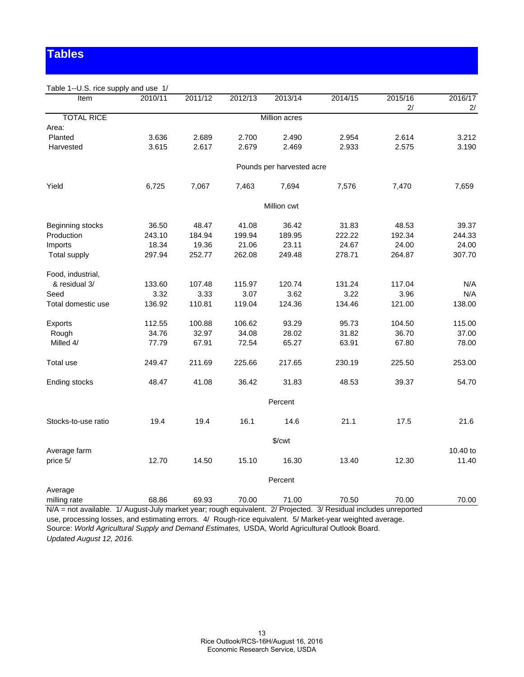# **Tables**

| Table 1--U.S. rice supply and use 1/ |                |                |         |                           |                |                |               |
|--------------------------------------|----------------|----------------|---------|---------------------------|----------------|----------------|---------------|
| Item                                 | 2010/11        | 2011/12        | 2012/13 | 2013/14                   | 2014/15        | 2015/16        | 2016/17       |
|                                      |                |                |         |                           |                | 2/             | 2/            |
| <b>TOTAL RICE</b>                    |                |                |         | <b>Million acres</b>      |                |                |               |
| Area:                                |                |                |         |                           |                |                |               |
| Planted                              | 3.636          | 2.689          | 2.700   | 2.490                     | 2.954          | 2.614          | 3.212         |
| Harvested                            | 3.615          | 2.617          | 2.679   | 2.469                     | 2.933          | 2.575          | 3.190         |
|                                      |                |                |         | Pounds per harvested acre |                |                |               |
| Yield                                | 6,725          | 7,067          | 7,463   | 7,694                     | 7,576          | 7,470          | 7,659         |
|                                      |                |                |         | Million cwt               |                |                |               |
| Beginning stocks                     | 36.50          | 48.47          | 41.08   | 36.42                     | 31.83          | 48.53          | 39.37         |
| Production                           | 243.10         | 184.94         | 199.94  | 189.95                    | 222.22         | 192.34         | 244.33        |
| Imports                              | 18.34          | 19.36          | 21.06   | 23.11                     | 24.67          | 24.00          | 24.00         |
| Total supply                         | 297.94         | 252.77         | 262.08  | 249.48                    | 278.71         | 264.87         | 307.70        |
|                                      |                |                |         |                           |                |                |               |
| Food, industrial,<br>& residual 3/   |                | 107.48         | 115.97  | 120.74                    | 131.24         | 117.04         | N/A           |
|                                      | 133.60         |                |         |                           |                |                |               |
| Seed                                 | 3.32<br>136.92 | 3.33<br>110.81 | 3.07    | 3.62<br>124.36            | 3.22<br>134.46 | 3.96<br>121.00 | N/A<br>138.00 |
| Total domestic use                   |                |                | 119.04  |                           |                |                |               |
| Exports                              | 112.55         | 100.88         | 106.62  | 93.29                     | 95.73          | 104.50         | 115.00        |
| Rough                                | 34.76          | 32.97          | 34.08   | 28.02                     | 31.82          | 36.70          | 37.00         |
| Milled 4/                            | 77.79          | 67.91          | 72.54   | 65.27                     | 63.91          | 67.80          | 78.00         |
| Total use                            | 249.47         | 211.69         | 225.66  | 217.65                    | 230.19         | 225.50         | 253.00        |
| Ending stocks                        | 48.47          | 41.08          | 36.42   | 31.83                     | 48.53          | 39.37          | 54.70         |
|                                      |                |                |         | Percent                   |                |                |               |
| Stocks-to-use ratio                  | 19.4           | 19.4           | 16.1    | 14.6                      | 21.1           | 17.5           | 21.6          |
|                                      |                |                |         | \$/cwt                    |                |                |               |
| Average farm                         |                |                |         |                           |                |                | 10.40 to      |
| price 5/                             | 12.70          | 14.50          | 15.10   | 16.30                     | 13.40          | 12.30          | 11.40         |
|                                      |                |                |         |                           |                |                |               |
|                                      |                |                |         | Percent                   |                |                |               |
| Average                              |                |                |         |                           |                |                |               |
| milling rate                         | 68.86          | 69.93          | 70.00   | 71.00                     | 70.50          | 70.00          | 70.00         |

N/A = not available. 1/ August-July market year; rough equivalent. 2/ Projected. 3/ Residual includes unreported use, processing losses, and estimating errors. 4/ Rough-rice equivalent. 5/ Market-year weighted average. Source: *World Agricultural Supply and Demand Estimates,* USDA, World Agricultural Outlook Board. *Updated August 12, 2016.*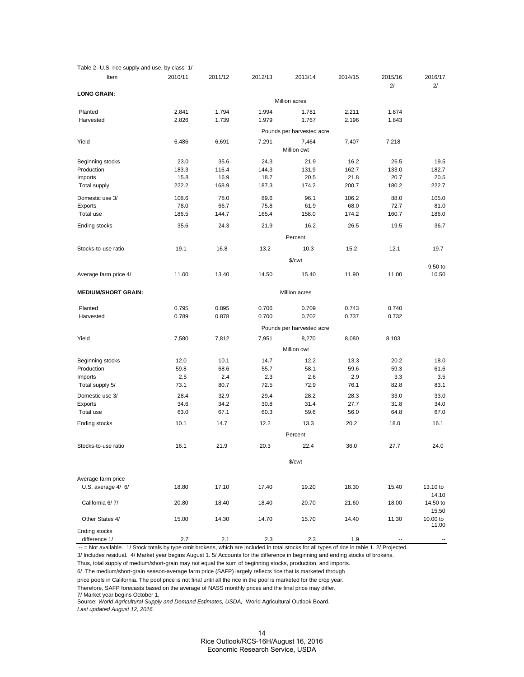| Table 2--U.S. rice supply and use, by class 1/ |             |         |         |                           |         |                          |                   |  |  |  |  |
|------------------------------------------------|-------------|---------|---------|---------------------------|---------|--------------------------|-------------------|--|--|--|--|
| Item                                           | 2010/11     | 2011/12 | 2012/13 | 2013/14                   | 2014/15 | 2015/16<br>2/            | 2016/17<br>2/     |  |  |  |  |
| <b>LONG GRAIN:</b>                             |             |         |         |                           |         |                          |                   |  |  |  |  |
|                                                |             |         |         | Million acres             |         |                          |                   |  |  |  |  |
| Planted                                        | 2.841       | 1.794   | 1.994   | 1.781                     | 2.211   | 1.874                    |                   |  |  |  |  |
| Harvested                                      | 2.826       | 1.739   | 1.979   | 1.767                     | 2.196   | 1.843                    |                   |  |  |  |  |
|                                                |             |         |         | Pounds per harvested acre |         |                          |                   |  |  |  |  |
| Yield                                          | 6,486       | 6,691   | 7,291   | 7,464                     | 7,407   | 7,218                    |                   |  |  |  |  |
|                                                |             |         |         | Million cwt               |         |                          |                   |  |  |  |  |
| Beginning stocks                               | 23.0        | 35.6    | 24.3    | 21.9                      | 16.2    | 26.5                     | 19.5              |  |  |  |  |
| Production                                     | 183.3       | 116.4   | 144.3   | 131.9                     | 162.7   | 133.0                    | 182.7             |  |  |  |  |
| Imports                                        | 15.8        | 16.9    | 18.7    | 20.5                      | 21.8    | 20.7                     | 20.5              |  |  |  |  |
| <b>Total supply</b>                            | 222.2       | 168.9   | 187.3   | 174.2                     | 200.7   | 180.2                    | 222.7             |  |  |  |  |
| Domestic use 3/                                | 108.6       | 78.0    | 89.6    | 96.1                      | 106.2   | 88.0                     | 105.0             |  |  |  |  |
| Exports                                        | 78.0        | 66.7    | 75.8    | 61.9                      | 68.0    | 72.7                     | 81.0              |  |  |  |  |
| Total use                                      | 186.5       | 144.7   | 165.4   | 158.0                     | 174.2   | 160.7                    | 186.0             |  |  |  |  |
|                                                |             |         |         |                           |         |                          |                   |  |  |  |  |
| Ending stocks                                  | 35.6        | 24.3    | 21.9    | 16.2                      | 26.5    | 19.5                     | 36.7              |  |  |  |  |
|                                                |             | Percent |         |                           |         |                          |                   |  |  |  |  |
| Stocks-to-use ratio                            | 19.1        | 16.8    | 13.2    | 10.3                      | 15.2    | 12.1                     | 19.7              |  |  |  |  |
|                                                |             |         |         | \$/cwt                    |         |                          |                   |  |  |  |  |
|                                                |             |         |         |                           |         |                          | 9.50 to           |  |  |  |  |
| Average farm price 4/                          | 11.00       | 13.40   | 14.50   | 15.40                     | 11.90   | 11.00                    | 10.50             |  |  |  |  |
| <b>MEDIUM/SHORT GRAIN:</b>                     |             |         |         | Million acres             |         |                          |                   |  |  |  |  |
| Planted                                        | 0.795       | 0.895   | 0.706   | 0.709                     | 0.743   | 0.740                    |                   |  |  |  |  |
|                                                | 0.789       | 0.878   | 0.700   | 0.702                     | 0.737   | 0.732                    |                   |  |  |  |  |
| Harvested                                      |             |         |         |                           |         |                          |                   |  |  |  |  |
|                                                |             |         |         | Pounds per harvested acre |         |                          |                   |  |  |  |  |
| Yield                                          | 7,580       | 7,812   | 7,951   | 8,270                     | 8,080   | 8,103                    |                   |  |  |  |  |
|                                                | Million cwt |         |         |                           |         |                          |                   |  |  |  |  |
| Beginning stocks                               | 12.0        | 10.1    | 14.7    | 12.2                      | 13.3    | 20.2                     | 18.0              |  |  |  |  |
| Production                                     | 59.8        | 68.6    | 55.7    | 58.1                      | 59.6    | 59.3                     | 61.6              |  |  |  |  |
| Imports                                        | 2.5         | 2.4     | 2.3     | 2.6                       | 2.9     | 3.3                      | 3.5               |  |  |  |  |
| Total supply 5/                                | 73.1        | 80.7    | 72.5    | 72.9                      | 76.1    | 82.8                     | 83.1              |  |  |  |  |
| Domestic use 3/                                | 28.4        | 32.9    | 29.4    | 28.2                      | 28.3    | 33.0                     | 33.0              |  |  |  |  |
| <b>Exports</b>                                 | 34.6        | 34.2    | 30.8    | 31.4                      | 27.7    | 31.8                     | 34.0              |  |  |  |  |
| Total use                                      | 63.0        | 67.1    | 60.3    | 59.6                      | 56.0    | 64.8                     | 67.0              |  |  |  |  |
|                                                |             |         |         |                           |         |                          |                   |  |  |  |  |
| Ending stocks                                  | 10.1        | 14.7    | 12.2    | 13.3                      | 20.2    | 18.0                     | 16.1              |  |  |  |  |
|                                                |             |         |         | Percent                   |         |                          |                   |  |  |  |  |
| Stocks-to-use ratio                            | 16.1        | 21.9    | 20.3    | 22.4                      | 36.0    | 27.7                     | 24.0              |  |  |  |  |
|                                                |             |         |         | \$/cwt                    |         |                          |                   |  |  |  |  |
|                                                |             |         |         |                           |         |                          |                   |  |  |  |  |
| Average farm price                             |             |         |         |                           |         |                          |                   |  |  |  |  |
| U.S. average 4/ 6/                             | 18.80       | 17.10   | 17.40   | 19.20                     | 18.30   | 15.40                    | 13.10 to          |  |  |  |  |
|                                                |             |         |         |                           |         |                          | 14.10             |  |  |  |  |
| California 6/7/                                | 20.80       | 18.40   | 18.40   | 20.70                     | 21.60   | 18.00                    | 14.50 to          |  |  |  |  |
|                                                |             |         |         |                           |         |                          | 15.50             |  |  |  |  |
| Other States 4/                                | 15.00       | 14.30   | 14.70   | 15.70                     | 14.40   | 11.30                    | 10.00 to<br>11.00 |  |  |  |  |
| Ending stocks                                  |             |         |         |                           |         |                          |                   |  |  |  |  |
| difference 1/                                  | 2.7         | 2.1     | 2.3     | 2.3                       | 1.9     | $\overline{\phantom{a}}$ |                   |  |  |  |  |

-- = Not available. 1/ Stock totals by type omit brokens, which are included in total stocks for all types of rice in table 1. 2/ Projected.

3/ Includes residual. 4/ Market year begins August 1. 5/ Accounts for the difference in beginning and ending stocks of brokens.

Thus, total supply of medium/short-grain may not equal the sum of beginning stocks, production, and imports. 6/ The medium/short-grain season-average farm price (SAFP) largely reflects rice that is marketed through

price pools in California. The pool price is not final until all the rice in the pool is marketed for the crop year.

Therefore, SAFP forecasts based on the average of NASS monthly prices and the final price may differ.

7/ Market year begins October 1.

Source: *World Agricultural Supply and Demand Estimates, USDA,* World Agricultural Outlook Board. *Last updated August 12, 2016.*

Rice Outlook/RCS-16H/August 16, 2016

Economic Research Service, USDA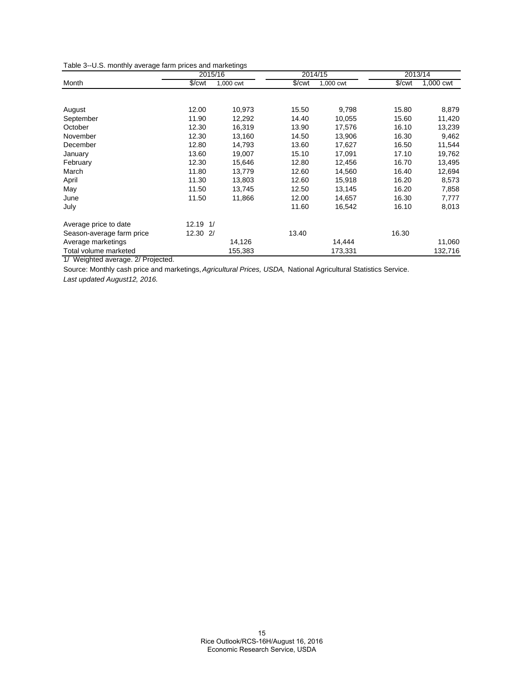Table 3--U.S. monthly average farm prices and marketings

|                           | 2015/16              |           |        | 2014/15   | 2013/14              |           |
|---------------------------|----------------------|-----------|--------|-----------|----------------------|-----------|
| Month                     | $\sqrt{\frac{2}{1}}$ | 1,000 cwt | \$/cwt | 1,000 cwt | $\sqrt{\frac{2}{1}}$ | 1,000 cwt |
|                           |                      |           |        |           |                      |           |
| August                    | 12.00                | 10,973    | 15.50  | 9,798     | 15.80                | 8,879     |
| September                 | 11.90                | 12,292    | 14.40  | 10,055    | 15.60                | 11,420    |
| October                   | 12.30                | 16,319    | 13.90  | 17,576    | 16.10                | 13,239    |
| November                  | 12.30                | 13,160    | 14.50  | 13,906    | 16.30                | 9,462     |
| December                  | 12.80                | 14,793    | 13.60  | 17,627    | 16.50                | 11,544    |
| January                   | 13.60                | 19,007    | 15.10  | 17.091    | 17.10                | 19,762    |
| February                  | 12.30                | 15,646    | 12.80  | 12,456    | 16.70                | 13,495    |
| March                     | 11.80                | 13,779    | 12.60  | 14,560    | 16.40                | 12,694    |
| April                     | 11.30                | 13,803    | 12.60  | 15,918    | 16.20                | 8,573     |
| May                       | 11.50                | 13,745    | 12.50  | 13,145    | 16.20                | 7,858     |
| June                      | 11.50                | 11,866    | 12.00  | 14,657    | 16.30                | 7,777     |
| July                      |                      |           | 11.60  | 16,542    | 16.10                | 8,013     |
| Average price to date     | $12.19$ $1/$         |           |        |           |                      |           |
| Season-average farm price | 12.30 2/             |           | 13.40  |           | 16.30                |           |
| Average marketings        |                      | 14,126    |        | 14,444    |                      | 11,060    |
| Total volume marketed     |                      | 155,383   |        | 173,331   |                      | 132,716   |

1/ Weighted average. 2/ Projected.

Source: Monthly cash price and marketings, *Agricultural Prices, USDA,* National Agricultural Statistics Service.

*Last updated August12, 2016.*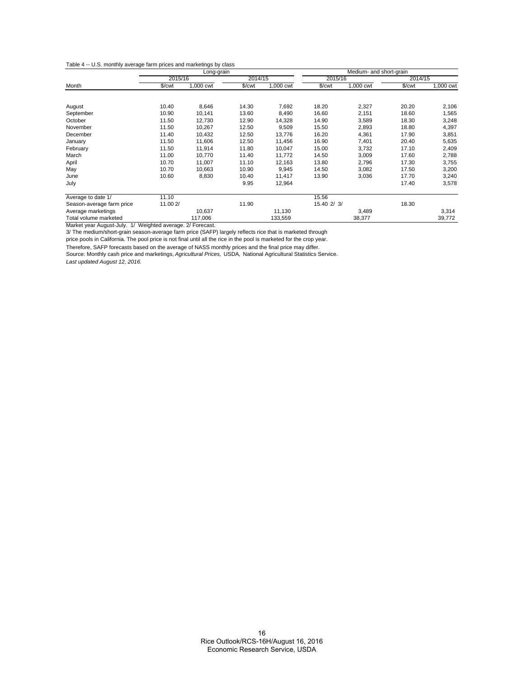| Table 4 -- U.S. monthly average farm prices and marketings by class |  |  |  |
|---------------------------------------------------------------------|--|--|--|
|---------------------------------------------------------------------|--|--|--|

|                           |                      | Long-grain |                      |           | Medium- and short-grain |           |                        |           |
|---------------------------|----------------------|------------|----------------------|-----------|-------------------------|-----------|------------------------|-----------|
|                           | 2015/16              |            |                      | 2014/15   |                         | 2015/16   | 2014/15                |           |
| Month                     | $\sqrt{\frac{2}{1}}$ | 1,000 cwt  | $\sqrt{\frac{2}{1}}$ | 1,000 cwt | $\sqrt{\text{Cwt}}$     | 1,000 cwt | $%$ / $\mathcal{C}$ wt | 1,000 cwt |
|                           |                      |            |                      |           |                         |           |                        |           |
| August                    | 10.40                | 8,646      | 14.30                | 7,692     | 18.20                   | 2,327     | 20.20                  | 2,106     |
| September                 | 10.90                | 10,141     | 13.60                | 8,490     | 16.60                   | 2,151     | 18.60                  | 1,565     |
| October                   | 11.50                | 12,730     | 12.90                | 14,328    | 14.90                   | 3,589     | 18.30                  | 3,248     |
| November                  | 11.50                | 10,267     | 12.50                | 9,509     | 15.50                   | 2,893     | 18.80                  | 4,397     |
| December                  | 11.40                | 10,432     | 12.50                | 13,776    | 16.20                   | 4,361     | 17.90                  | 3,851     |
| January                   | 11.50                | 11,606     | 12.50                | 11,456    | 16.90                   | 7,401     | 20.40                  | 5,635     |
| February                  | 11.50                | 11,914     | 11.80                | 10,047    | 15.00                   | 3,732     | 17.10                  | 2,409     |
| March                     | 11.00                | 10,770     | 11.40                | 11,772    | 14.50                   | 3,009     | 17.60                  | 2,788     |
| April                     | 10.70                | 11,007     | 11.10                | 12,163    | 13.80                   | 2,796     | 17.30                  | 3,755     |
| May                       | 10.70                | 10,663     | 10.90                | 9,945     | 14.50                   | 3,082     | 17.50                  | 3,200     |
| June                      | 10.60                | 8,830      | 10.40                | 11,417    | 13.90                   | 3,036     | 17.70                  | 3,240     |
| July                      |                      |            | 9.95                 | 12,964    |                         |           | 17.40                  | 3,578     |
| Average to date 1/        | 11.10                |            |                      |           | 15.56                   |           |                        |           |
| Season-average farm price | 11.00 2/             |            | 11.90                |           | 15.40 2/ 3/             |           | 18.30                  |           |
| Average marketings        |                      | 10,637     |                      | 11,130    |                         | 3,489     |                        | 3,314     |
| Total volume marketed     |                      | 117,006    |                      | 133,559   |                         | 38,377    |                        | 39,772    |

Market year August-July. 1/ Weighted average. 2/ Forecast.

3/ The medium/short-grain season-average farm price (SAFP) largely reflects rice that is marketed through

price pools in California. The pool price is not final until all the rice in the pool is marketed for the crop year.

Therefore, SAFP forecasts based on the average of NASS monthly prices and the final price may differ.<br>Source: Monthly cash price and marketings, *Agricultural Prices,* USDA, National Agricultural Statistics Service.

*Last updated August 12, 2016.*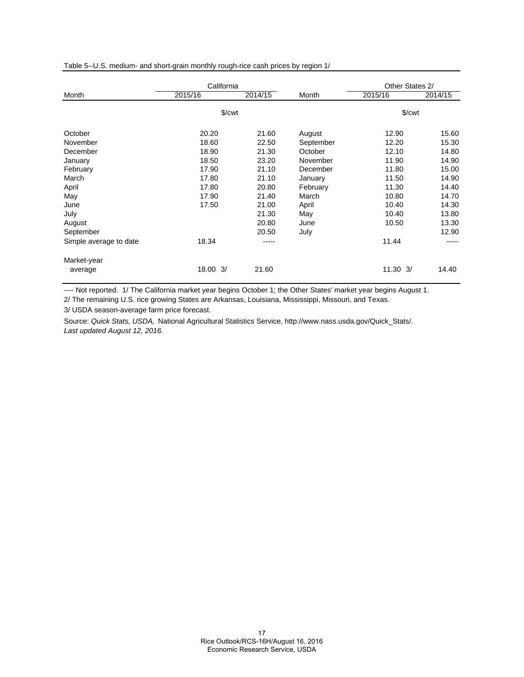Table 5--U.S. medium- and short-grain monthly rough-rice cash prices by region 1/

|                        | California |         |           | Other States 2/ |         |  |
|------------------------|------------|---------|-----------|-----------------|---------|--|
| Month                  | 2015/16    | 2014/15 | Month     | 2015/16         | 2014/15 |  |
|                        | \$/cwt     |         |           | \$/cwt          |         |  |
| October                | 20.20      | 21.60   | August    | 12.90           | 15.60   |  |
| November               | 18.60      | 22.50   | September | 12.20           | 15.30   |  |
| December               | 18.90      | 21.30   | October   | 12.10           | 14.80   |  |
| January                | 18.50      | 23.20   | November  | 11.90           | 14.90   |  |
| February               | 17.90      | 21.10   | December  | 11.80           | 15.00   |  |
| March                  | 17.80      | 21.10   | January   | 11.50           | 14.90   |  |
| April                  | 17.80      | 20.80   | February  | 11.30           | 14.40   |  |
| May                    | 17.90      | 21.40   | March     | 10.80           | 14.70   |  |
| June                   | 17.50      | 21.00   | April     | 10.40           | 14.30   |  |
| July                   |            | 21.30   | May       | 10.40           | 13.80   |  |
| August                 |            | 20.80   | June      | 10.50           | 13.30   |  |
| September              |            | 20.50   | July      |                 | 12.90   |  |
| Simple average to date | 18.34      | -----   |           | 11.44           | -----   |  |
| Market-year            |            |         |           |                 |         |  |
| average                | 18.00 3/   | 21.60   |           | 11.30<br>3/     | 14.40   |  |

---- Not reported. 1/ The California market year begins October 1; the Other States' market year begins August 1. 2/ The remaining U.S. rice growing States are Arkansas, Louisiana, Mississippi, Missouri, and Texas.

3/ USDA season-average farm price forecast.

Source: *Quick Stats, USDA,* National Agricultural Statistics Service, http://www.nass.usda.gov/Quick\_Stats/. *Last updated August 12, 2016.*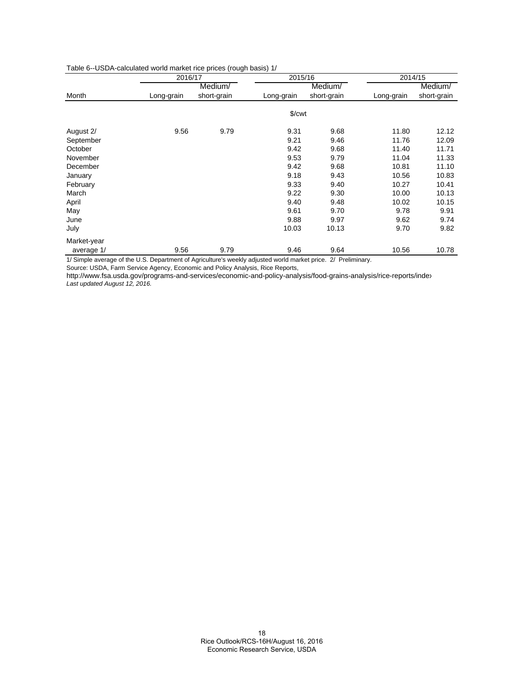|             | 2016/17    |             | 2015/16    |             | 2014/15    |             |  |
|-------------|------------|-------------|------------|-------------|------------|-------------|--|
|             |            | Medium/     |            | Medium/     |            | Medium/     |  |
| Month       | Long-grain | short-grain | Long-grain | short-grain | Long-grain | short-grain |  |
|             |            |             | \$/cwt     |             |            |             |  |
|             |            |             |            |             |            |             |  |
| August 2/   | 9.56       | 9.79        | 9.31       | 9.68        | 11.80      | 12.12       |  |
| September   |            |             | 9.21       | 9.46        | 11.76      | 12.09       |  |
| October     |            |             | 9.42       | 9.68        | 11.40      | 11.71       |  |
| November    |            |             | 9.53       | 9.79        | 11.04      | 11.33       |  |
| December    |            |             | 9.42       | 9.68        | 10.81      | 11.10       |  |
| January     |            |             | 9.18       | 9.43        | 10.56      | 10.83       |  |
| February    |            |             | 9.33       | 9.40        | 10.27      | 10.41       |  |
| March       |            |             | 9.22       | 9.30        | 10.00      | 10.13       |  |
| April       |            |             | 9.40       | 9.48        | 10.02      | 10.15       |  |
| May         |            |             | 9.61       | 9.70        | 9.78       | 9.91        |  |
| June        |            |             | 9.88       | 9.97        | 9.62       | 9.74        |  |
| July        |            |             | 10.03      | 10.13       | 9.70       | 9.82        |  |
| Market-year |            |             |            |             |            |             |  |
| average 1/  | 9.56       | 9.79        | 9.46       | 9.64        | 10.56      | 10.78       |  |

1/ Simple average of the U.S. Department of Agriculture's weekly adjusted world market price. 2/ Preliminary.

Source: USDA, Farm Service Agency, Economic and Policy Analysis, Rice Reports,

http://www.fsa.usda.gov/programs-and-services/economic-and-policy-analysis/food-grains-analysis/rice-reports/index *Last updated August 12, 2016.*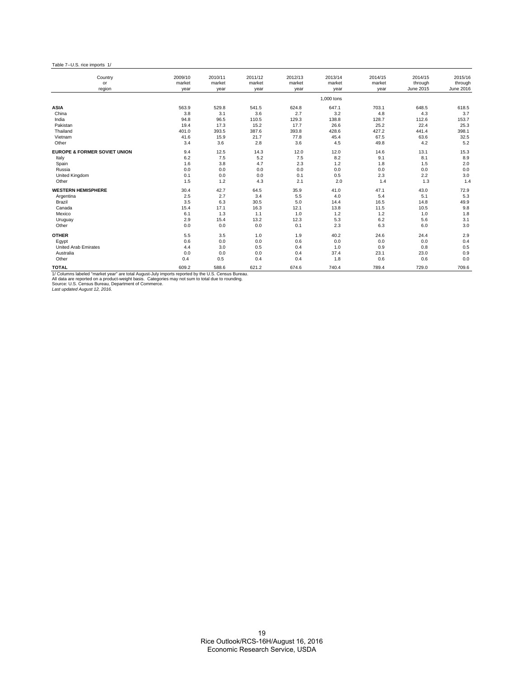#### Table 7--U.S. rice imports 1/

| Country                                                                                                                                                                                                                                                                                         | 2009/10 | 2010/11 | 2011/12 | 2012/13 | 2013/14    | 2014/15 | 2014/15   | 2015/16   |
|-------------------------------------------------------------------------------------------------------------------------------------------------------------------------------------------------------------------------------------------------------------------------------------------------|---------|---------|---------|---------|------------|---------|-----------|-----------|
| or                                                                                                                                                                                                                                                                                              | market  | market  | market  | market  | market     | market  | through   | through   |
| region                                                                                                                                                                                                                                                                                          | year    | year    | year    | year    | year       | year    | June 2015 | June 2016 |
|                                                                                                                                                                                                                                                                                                 |         |         |         |         | 1.000 tons |         |           |           |
| <b>ASIA</b>                                                                                                                                                                                                                                                                                     | 563.9   | 529.8   | 541.5   | 624.8   | 647.1      | 703.1   | 648.5     | 618.5     |
| China                                                                                                                                                                                                                                                                                           | 3.8     | 3.1     | 3.6     | 2.7     | 3.2        | 4.8     | 4.3       | 3.7       |
| India                                                                                                                                                                                                                                                                                           | 94.8    | 96.5    | 110.5   | 129.3   | 138.8      | 128.7   | 112.6     | 153.7     |
| Pakistan                                                                                                                                                                                                                                                                                        | 19.4    | 17.3    | 15.2    | 17.7    | 26.6       | 25.2    | 22.4      | 25.3      |
| Thailand                                                                                                                                                                                                                                                                                        | 401.0   | 393.5   | 387.6   | 393.8   | 428.6      | 427.2   | 441.4     | 398.1     |
| Vietnam                                                                                                                                                                                                                                                                                         | 41.6    | 15.9    | 21.7    | 77.8    | 45.4       | 67.5    | 63.6      | 32.5      |
| Other                                                                                                                                                                                                                                                                                           | 3.4     | 3.6     | 2.8     | 3.6     | 4.5        | 49.8    | 4.2       | 5.2       |
| <b>EUROPE &amp; FORMER SOVIET UNION</b>                                                                                                                                                                                                                                                         | 9.4     | 12.5    | 14.3    | 12.0    | 12.0       | 14.6    | 13.1      | 15.3      |
| Italy                                                                                                                                                                                                                                                                                           | 6.2     | 7.5     | 5.2     | 7.5     | 8.2        | 9.1     | 8.1       | 8.9       |
| Spain                                                                                                                                                                                                                                                                                           | 1.6     | 3.8     | 4.7     | 2.3     | 1.2        | 1.8     | 1.5       | 2.0       |
| Russia                                                                                                                                                                                                                                                                                          | 0.0     | 0.0     | 0.0     | 0.0     | 0.0        | 0.0     | 0.0       | 0.0       |
| United Kingdom                                                                                                                                                                                                                                                                                  | 0.1     | 0.0     | 0.0     | 0.1     | 0.5        | 2.3     | 2.2       | 3.0       |
| Other                                                                                                                                                                                                                                                                                           | 1.5     | 1.2     | 4.3     | 2.1     | 2.0        | 1.4     | 1.3       | 1.4       |
| <b>WESTERN HEMISPHERE</b>                                                                                                                                                                                                                                                                       | 30.4    | 42.7    | 64.5    | 35.9    | 41.0       | 47.1    | 43.0      | 72.9      |
| Argentina                                                                                                                                                                                                                                                                                       | 2.5     | 2.7     | 3.4     | 5.5     | 4.0        | 5.4     | 5.1       | 5.3       |
| Brazil                                                                                                                                                                                                                                                                                          | 3.5     | 6.3     | 30.5    | 5.0     | 14.4       | 16.5    | 14.8      | 49.9      |
| Canada                                                                                                                                                                                                                                                                                          | 15.4    | 17.1    | 16.3    | 12.1    | 13.8       | 11.5    | 10.5      | 9.8       |
| Mexico                                                                                                                                                                                                                                                                                          | 6.1     | 1.3     | 1.1     | 1.0     | 1.2        | 1.2     | 1.0       | 1.8       |
| Uruguay                                                                                                                                                                                                                                                                                         | 2.9     | 15.4    | 13.2    | 12.3    | 5.3        | 6.2     | 5.6       | 3.1       |
| Other                                                                                                                                                                                                                                                                                           | 0.0     | 0.0     | 0.0     | 0.1     | 2.3        | 6.3     | 6.0       | 3.0       |
| <b>OTHER</b>                                                                                                                                                                                                                                                                                    | 5.5     | 3.5     | 1.0     | 1.9     | 40.2       | 24.6    | 24.4      | 2.9       |
| Egypt                                                                                                                                                                                                                                                                                           | 0.6     | 0.0     | 0.0     | 0.6     | 0.0        | 0.0     | 0.0       | 0.4       |
| <b>United Arab Emirates</b>                                                                                                                                                                                                                                                                     | 4.4     | 3.0     | 0.5     | 0.4     | 1.0        | 0.9     | 0.8       | 0.5       |
| Australia                                                                                                                                                                                                                                                                                       | 0.0     | 0.0     | 0.0     | 0.4     | 37.4       | 23.1    | 23.0      | 0.9       |
| Other                                                                                                                                                                                                                                                                                           | 0.4     | 0.5     | 0.4     | 0.4     | 1.8        | 0.6     | 0.6       | 0.0       |
| <b>TOTAL</b>                                                                                                                                                                                                                                                                                    | 609.2   | 588.6   | 621.2   | 674.6   | 740.4      | 789.4   | 729.0     | 709.6     |
| 1/ Columns labeled "market year" are total August-July imports reported by the U.S. Census Bureau.<br>All data are reported on a product-weight basis. Categories may not sum to total due to rounding.<br>Source: U.S. Census Bureau, Department of Commerce.<br>Last updated August 12, 2016. |         |         |         |         |            |         |           |           |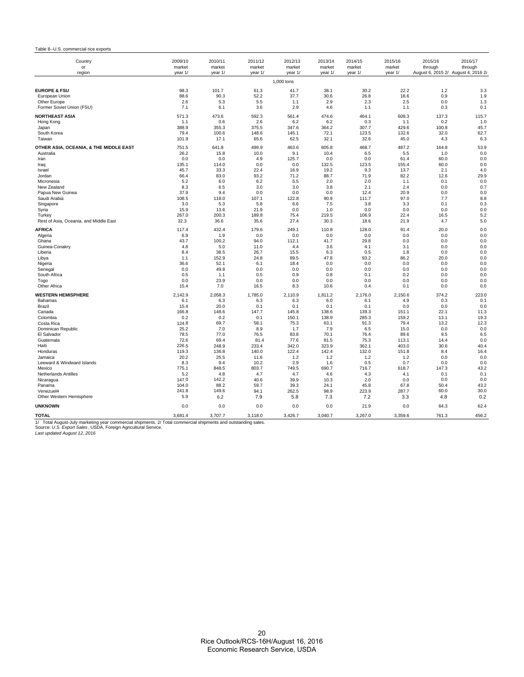#### Table 8--U.S. commercial rice exports

| Country<br>or                                                                                                                                                                    | 2009/10<br>market | 2010/11<br>market | 2011/12<br>market | 2012/13<br>market | 2013/14<br>market | 2014/15<br>market | 2015/16<br>market | 2015/16<br>through | 2016/17<br>through                  |
|----------------------------------------------------------------------------------------------------------------------------------------------------------------------------------|-------------------|-------------------|-------------------|-------------------|-------------------|-------------------|-------------------|--------------------|-------------------------------------|
| region                                                                                                                                                                           | year 1/           | year 1/           | year 1/           | year 1/           | year $1/$         | year 1/           | year 1/           |                    | August 6, 2015 2/ August 4, 2016 2/ |
|                                                                                                                                                                                  |                   |                   |                   | 1,000 tons        |                   |                   |                   |                    |                                     |
| <b>EUROPE &amp; FSU</b>                                                                                                                                                          | 98.3              | 101.7             | 61.3              | 41.7              | 38.1              | 30.2              | 22.2              | 1.2                | 3.3                                 |
| European Union                                                                                                                                                                   | 88.6              | 90.3              | 52.2              | 37.7              | 30.6              | 26.8              | 18.6              | 0.9                | 1.9                                 |
| Other Europe<br>Former Soviet Union (FSU)                                                                                                                                        | 2.6<br>7.1        | 5.3<br>6.1        | 5.5<br>3.6        | 1.1<br>2.9        | 2.9<br>4.6        | 2.3<br>1.1        | 2.5<br>1.1        | 0.0<br>0.3         | 1.3<br>0.1                          |
|                                                                                                                                                                                  |                   |                   |                   |                   |                   |                   |                   |                    |                                     |
| <b>NORTHEAST ASIA</b>                                                                                                                                                            | 571.3             | 473.6             | 592.3             | 561.4             | 474.6             | 464.1             | 608.3             | 137.3              | 115.7                               |
| Hong Kong<br>Japan                                                                                                                                                               | 1.1<br>388.9      | 0.6<br>355.3      | 2.6<br>375.5      | 6.2<br>347.6      | 6.2<br>364.2      | 0.3<br>307.7      | 1.1<br>429.6      | 0.2<br>100.8       | 1.0<br>45.7                         |
| South Korea                                                                                                                                                                      | 79.4              | 100.6             | 148.6             | 145.1             | 72.1              | 123.5             | 132.6             | 32.0               | 62.7                                |
| Taiwan                                                                                                                                                                           | 101.9             | 17.1              | 65.6              | 62.5              | 32.1              | 32.6              | 45.0              | 4.3                | 6.3                                 |
| OTHER ASIA, OCEANIA, & THE MIDDLE EAST                                                                                                                                           | 751.5             | 641.8             | 499.9             | 463.6             | 605.8             | 468.7             | 487.2             | 164.8              | 53.9                                |
| Australia                                                                                                                                                                        | 26.2              | 15.8              | 10.0              | 9.1               | 10.4              | 6.5               | 5.5               | 1.0                | 0.0                                 |
| Iran                                                                                                                                                                             | 0.0               | 0.0               | 4.9               | 125.7             | 0.0               | 0.0               | 61.4              | 60.0               | 0.0                                 |
| Iraq                                                                                                                                                                             | 135.1<br>45.7     | 114.0<br>33.3     | 0.0<br>22.4       | 0.0<br>16.9       | 132.5<br>19.2     | 123.5<br>9.3      | 155.4<br>13.7     | 60.0<br>2.1        | 0.0<br>4.0                          |
| Israel<br>Jordan                                                                                                                                                                 | 66.4              | 83.0              | 93.2              | 71.2              | 88.7              | 71.9              | 82.2              | 12.6               | 29.9                                |
| Micronesia                                                                                                                                                                       | 5.2               | 6.0               | 6.2               | 5.5               | 2.0               | 2.0               | 1.1               | 0.1                | 0.0                                 |
| New Zealand                                                                                                                                                                      | 8.3               | 6.5               | 3.0               | 3.0               | 3.8               | 2.1               | 2.4               | 0.0                | 0.7                                 |
| Papua New Guinea                                                                                                                                                                 | 37.9              | 9.4               | 0.0               | 0.0               | 0.0               | 12.4              | 20.9              | 0.0                | 0.0                                 |
| Saudi Arabia                                                                                                                                                                     | 108.5             | 118.0             | 107.1             | 122.8             | 90.9              | 111.7             | 97.0              | 7.7                | 8.8                                 |
| Singapore<br>Syria                                                                                                                                                               | 3.0<br>15.9       | 5.3<br>13.6       | 5.8<br>21.9       | 6.6<br>0.0        | 7.5<br>1.0        | 3.8<br>0.0        | 3.3<br>0.0        | 0.1<br>0.0         | 0.3<br>0.0                          |
| Turkey                                                                                                                                                                           | 267.0             | 200.3             | 189.8             | 75.4              | 219.5             | 106.9             | 22.4              | 16.5               | 5.2                                 |
| Rest of Asia, Oceania, and Middle East                                                                                                                                           | 32.3              | 36.6              | 35.6              | 27.4              | 30.3              | 18.6              | 21.9              | 4.7                | 5.0                                 |
| <b>AFRICA</b>                                                                                                                                                                    | 117.4             | 432.4             | 179.6             | 249.1             | 110.8             | 128.0             | 91.4              | 20.0               | 0.0                                 |
| Algeria                                                                                                                                                                          | 6.9               | 1.9               | 0.0               | 0.0               | 0.0               | 0.0               | 0.0               | 0.0                | 0.0                                 |
| Ghana                                                                                                                                                                            | 43.7              | 100.2             | 94.0              | 112.1             | 41.7              | 29.8              | 0.0               | 0.0                | 0.0                                 |
| Guinea-Conakry<br>Liberia                                                                                                                                                        | 4.8<br>8.4        | 5.0<br>38.5       | 11.0<br>26.7      | 4.4<br>15.5       | 3.6<br>6.3        | 4.1<br>0.5        | 3.1<br>1.8        | 0.0<br>0.0         | 0.0<br>0.0                          |
| Libya                                                                                                                                                                            | 1.1               | 152.9             | 24.8              | 89.5              | 47.8              | 93.2              | 86.2              | 20.0               | 0.0                                 |
| Nigeria                                                                                                                                                                          | 36.6              | 52.1              | 6.1               | 18.4              | 0.0               | 0.0               | 0.0               | 0.0                | 0.0                                 |
| Senegal                                                                                                                                                                          | 0.0               | 49.8              | 0.0               | 0.0               | 0.0               | 0.0               | 0.0               | 0.0                | 0.0                                 |
| South Africa                                                                                                                                                                     | 0.5               | 1.1               | 0.5               | 0.9               | 0.8               | 0.1               | 0.2               | 0.0                | 0.0                                 |
| Togo<br>Other Africa                                                                                                                                                             | 0.0<br>15.4       | 23.9<br>7.0       | 0.0<br>16.5       | 0.0<br>8.3        | 0.0<br>10.6       | 0.0<br>0.4        | 0.0<br>0.1        | 0.0<br>0.0         | 0.0<br>0.0                          |
| <b>WESTERN HEMISPHERE</b>                                                                                                                                                        | 2,142.9           | 2,058.3           | 1,785.0           | 2,110.9           | 1,811.2           | 2,176.0           | 2,150.6           | 374.2              | 223.0                               |
| Bahamas                                                                                                                                                                          | 6.1               | 6.3               | 6.3               | 6.3               | 6.0               | 6.1               | 4.9               | 0.3                | 0.1                                 |
| Brazil                                                                                                                                                                           | 15.4              | 20.0              | 0.1               | 0.1               | 0.1               | 0.1               | 0.0               | 0.0                | 0.0                                 |
| Canada                                                                                                                                                                           | 166.8             | 148.6             | 147.7             | 145.8             | 138.6             | 139.3             | 151.1             | 22.1               | 11.3                                |
| Colombia                                                                                                                                                                         | 0.2               | 0.2               | 0.1               | 150.1             | 138.9             | 285.3             | 159.2             | 13.1               | 19.3                                |
| Costa Rica<br>Dominican Republic                                                                                                                                                 | 124.8<br>25.2     | 69.7<br>7.0       | 58.1<br>8.9       | 75.3<br>1.7       | 63.1<br>7.9       | 91.3<br>6.5       | 79.4<br>15.0      | 13.2<br>0.0        | 12.3<br>0.0                         |
| El Salvador                                                                                                                                                                      | 78.5              | 77.0              | 76.5              | 83.8              | 70.1              | 76.4              | 89.6              | 9.5                | 6.5                                 |
| Guatemala                                                                                                                                                                        | 72.6              | 69.4              | 81.4              | 77.6              | 81.5              | 75.3              | 113.1             | 14.4               | 0.0                                 |
| Haiti                                                                                                                                                                            | 226.5             | 248.9             | 233.4             | 342.0             | 323.9             | 362.1             | 403.0             | 30.6               | 40.4                                |
| Honduras                                                                                                                                                                         | 119.3             | 136.8             | 140.0             | 122.4             | 142.4             | 132.0             | 151.8             | 8.4                | 16.4                                |
| Jamaica<br>Leeward & Windward Islands                                                                                                                                            | 20.2<br>8.3       | 25.5<br>9.4       | 11.6<br>10.2      | 1.2<br>2.9        | 1.2<br>1.6        | 1.2<br>0.5        | 1.2<br>0.7        | 0.0<br>0.0         | 0.0<br>0.0                          |
| Mexico                                                                                                                                                                           | 775.1             | 848.5             | 803.7             | 749.5             | 690.7             | 716.7             | 618.7             | 147.3              | 43.2                                |
| Netherlands Antilles                                                                                                                                                             | 5.2               | 4.8               | 4.7               | 4.7               | 4.6               | 4.3               | 4.1               | 0.1                | 0.1                                 |
| Nicaragua                                                                                                                                                                        | 147.0             | 142.2             | 40.6              | 39.9              | 10.3              | 2.0               | 0.0               | 0.0                | 0.0                                 |
| Panama                                                                                                                                                                           | 104.0             | 88.2              | 59.7              | 39.3              | 24.1              | 45.8              | 67.8              | 50.4               | 43.2                                |
| Venezuela                                                                                                                                                                        | 241.8             | 149.6             | 94.1              | 262.5             | 98.9              | 223.9             | 287.7             | 60.0               | 30.0                                |
| Other Western Hemisphere                                                                                                                                                         | 5.9               | 6.2               | 7.9               | 5.8               | 7.3               | 7.2               | 3.3               | 4.8                | 0.2                                 |
| <b>UNKNOWN</b>                                                                                                                                                                   | 0.0               | 0.0               | 0.0               | 0.0               | 0.0               | 21.9              | 0.0               | 64.3               | 62.4                                |
| <b>TOTAL</b>                                                                                                                                                                     | 3,681.4           | 3,707.7           | 3,118.0           | 3,426.7           | 3,040.7           | 3,267.0           | 3,359.6           | 761.3              | 456.2                               |
| 1/ Total August-July marketing year commercial shipments. 2/ Total commercial shipments and outstanding sales.<br>Source: U.S. Export Sales, USDA, Foreign Agricultural Service. |                   |                   |                   |                   |                   |                   |                   |                    |                                     |
| Last updated August 12, 2016                                                                                                                                                     |                   |                   |                   |                   |                   |                   |                   |                    |                                     |

20 Rice Outlook/RCS-16H/August 16, 2016 Economic Research Service, USDA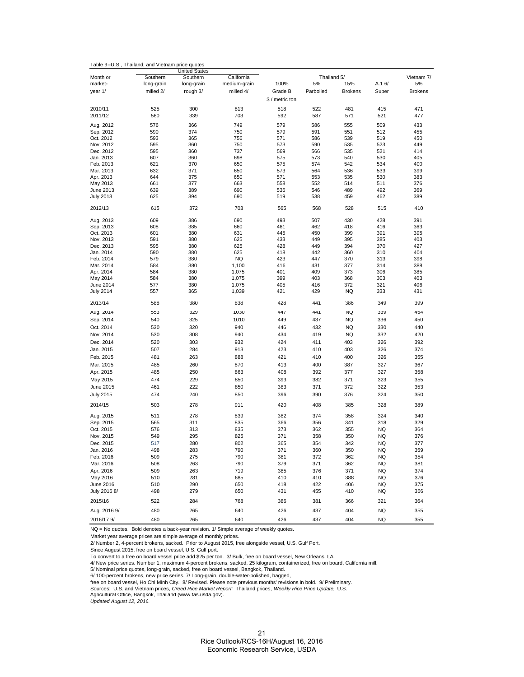|                  |            | <b>United States</b> |                |                 |             |                |            |                |
|------------------|------------|----------------------|----------------|-----------------|-------------|----------------|------------|----------------|
| Month or         | Southern   | Southern             | California     |                 | Thailand 5/ |                |            | Vietnam 7/     |
| market-          | long-grain | long-grain           | medium-grain   | 100%            | 5%          | 15%            | A.1 6/     | 5%             |
| year 1/          | milled 2/  | rough 3/             | milled 4/      | Grade B         | Parboiled   | <b>Brokens</b> | Super      | <b>Brokens</b> |
|                  |            |                      |                | \$ / metric ton |             |                |            |                |
| 2010/11          | 525        | 300                  | 813            | 518             | 522         | 481            | 415        | 471            |
| 2011/12          | 560        | 339                  | 703            | 592             | 587         | 571            | 521        | 477            |
| Aug. 2012        | 576        | 366                  | 749            | 579             | 586         | 555            | 509        | 433            |
| Sep. 2012        | 590        | 374                  | 750            | 579             | 591         | 551            | 512        | 455            |
| Oct. 2012        | 593        | 365                  | 756            | 571             | 586         | 539            | 519        | 450            |
| Nov. 2012        | 595        | 360                  | 750            | 573             | 590         | 535            | 523        | 449            |
| Dec. 2012        | 595        | 360                  | 737            | 569             | 566         | 535            | 521        | 414            |
| Jan. 2013        | 607        | 360                  | 698            | 575             | 573         | 540            | 530        | 405            |
| Feb. 2013        | 621        | 370                  | 650            | 575             | 574         | 542            | 534        | 400            |
| Mar. 2013        | 632        | 371                  | 650            | 573             | 564         | 536            | 533        | 399            |
| Apr. 2013        | 644        | 375                  | 650            | 571             | 553         | 535            | 530        | 383            |
| May 2013         | 661        | 377                  | 663            | 558             | 552         | 514            | 511        | 376            |
| June 2013        | 639        | 389                  | 690            | 536             | 546         | 489            | 492        | 369            |
| <b>July 2013</b> | 625        | 394                  | 690            | 519             | 538         | 459            | 462        | 389            |
| 2012/13          | 615        | 372                  | 703            | 565             | 568         | 528            | 515        | 410            |
| Aug. 2013        | 609        | 386                  | 690            | 493             | 507         | 430            | 428        | 391            |
| Sep. 2013        | 608        | 385                  | 660            | 461             | 462         | 418            | 416        | 363            |
| Oct. 2013        | 601        | 380                  | 631            | 445             | 450         | 399            | 391        | 395            |
| Nov. 2013        | 591        | 380                  | 625            | 433             | 449         | 395            | 385        | 403            |
| Dec. 2013        | 595        | 380                  | 625            | 428             | 449         | 394            | 370        | 427            |
| Jan. 2014        | 590        | 380                  | 625            | 418             | 442         | 360            | 310        | 404            |
| Feb. 2014        | 579        | 380                  | NQ             | 423             | 447         | 370            | 313        | 398            |
| Mar. 2014        | 584        | 380                  | 1,100          | 416             | 431         | 377            | 314        | 388            |
| Apr. 2014        | 584        | 380                  | 1,075          | 401             | 409         | 373            | 306        | 385            |
| May 2014         | 584        | 380                  | 1,075          | 399             | 403         | 368            | 303        | 403            |
| June 2014        | 577        | 380<br>365           | 1,075<br>1,039 | 405<br>421      | 416<br>429  | 372<br>NQ      | 321<br>333 | 406<br>431     |
| <b>July 2014</b> | 557        |                      |                |                 |             |                |            |                |
| 2013/14          | 588        | 380                  | 838            | 428             | 441         | 386            | 349        | 399            |
| Aug. 2014        | 553        | 329                  | 1030           | 447             | 441         | NQ             | 339        | 454            |
| Sep. 2014        | 540        | 325                  | 1010           | 449             | 437         | <b>NQ</b>      | 336        | 450            |
| Oct. 2014        | 530        | 320                  | 940            | 446             | 432         | NQ             | 330        | 440            |
| Nov. 2014        | 530        | 308                  | 940            | 434             | 419         | NQ             | 332        | 420            |
| Dec. 2014        | 520        | 303                  | 932            | 424             | 411         | 403            | 326        | 392            |
| Jan. 2015        | 507        | 284                  | 913            | 423             | 410         | 403            | 326        | 374            |
| Feb. 2015        | 481        | 263                  | 888            | 421             | 410         | 400            | 326        | 355            |
| Mar. 2015        | 485        | 260                  | 870            | 413             | 400         | 387            | 327        | 367            |
| Apr. 2015        | 485        | 250                  | 863            | 408             | 392         | 377            | 327        | 358            |
| May 2015         | 474        | 229                  | 850            | 393             | 382         | 371            | 323        | 355            |
| June 2015        | 461        | 222                  | 850            | 383             | 371         | 372            | 322        | 353            |
| <b>July 2015</b> | 474        | 240                  | 850            | 396             | 390         | 376            | 324        | 350            |
| 2014/15          | 503        | 278                  | 911            | 420             | 408         | 385            | 328        | 389            |
| Aug. 2015        | 511        | 278                  | 839            | 382             | 374         | 358            | 324        | 340            |
| Sep. 2015        | 565        | 311                  | 835            | 366             | 356         | 341            | 318        | 329            |
| Oct. 2015        | 576        | 313                  | 835            | 373             | 362         | 355            | NQ         | 364            |
| Nov. 2015        | 549        | 295                  | 825            | 371             | 358         | 350            | <b>NQ</b>  | 376            |
| Dec. 2015        | 517        | 280                  | 802            | 365             | 354         | 342            | <b>NQ</b>  | 377            |
| Jan. 2016        | 498        | 283                  | 790            | 371             | 360         | 350            | NQ         | 359            |
| Feb. 2016        | 509        | 275                  | 790            | 381             | 372         | 362            | <b>NQ</b>  | 354            |
| Mar. 2016        | 508        | 263                  | 790            | 379             | 371         | 362            | NQ         | 381            |
| Apr. 2016        | 509        | 263                  | 719            | 385             | 376         | 371            | NQ         | 374            |
| May 2016         | 510        | 281                  | 685            | 410             | 410         | 388            | NQ         | 376            |
| June 2016        | 510        | 290                  | 650            | 418             | 422         | 406            | NQ         | 375            |
| July 2016 8/     | 498        | 279                  | 650            | 431             | 455         | 410            | NQ         | 366            |
| 2015/16          | 522        | 284                  | 768            | 386             | 381         | 366            | 321        | 364            |
| Aug. 2016 9/     | 480        | 265                  | 640            | 426             | 437         | 404            | NQ         | 355            |
| 2016/17 9/       | 480        | 265                  | 640            | 426             | 437         | 404            | <b>NQ</b>  | 355            |
|                  |            |                      |                |                 |             |                |            |                |

Table 9--U.S., Thailand, and Vietnam price quotes

NQ = No quotes. Bold denotes a back-year revision. 1/ Simple average of weekly quotes.

Market year average prices are simple average of monthly prices.

2/ Number 2, 4-percent brokens, sacked. Prior to August 2015, free alongside vessel, U.S. Gulf Port.

Since August 2015, free on board vessel, U.S. Gulf port.

To convert to a free on board vessel price add \$25 per ton. 3/ Bulk, free on board vessel, New Orleans, LA.<br>4/ New price series. Number 1, maximum 4-percent brokens, sacked, 25 kilogram, containerized, free on board, Calif

Sources: U.S. and Vietnam prices, *Creed Rice Market Report;* Thailand prices, *Weekly Rice Price Update,* U.S.<br>Agricultural Office, Bangkok, Thailand (www.fas.usda.gov).

*Updated August 12, 2016.*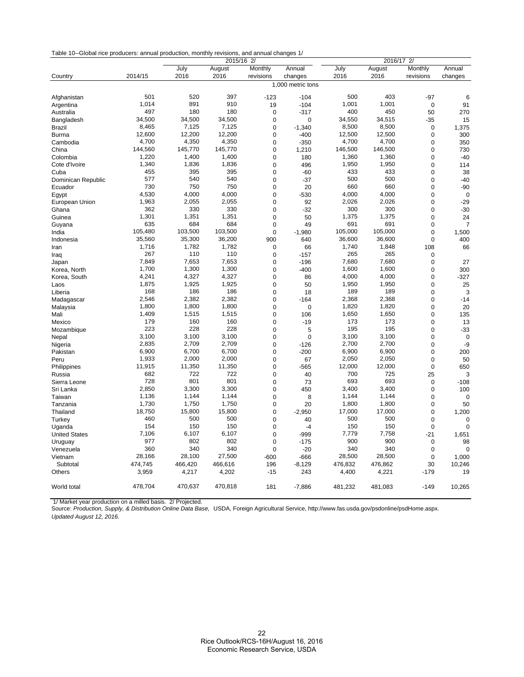| Table 10--Global rice producers: annual production, monthly revisions, and annual changes 1/ |  |  |  |
|----------------------------------------------------------------------------------------------|--|--|--|
|                                                                                              |  |  |  |

|                      |                   | 2015/16 2/ |         |                |             | $\overline{2}$<br>2016/17 |         |             |                |
|----------------------|-------------------|------------|---------|----------------|-------------|---------------------------|---------|-------------|----------------|
|                      |                   | July       | August  | Monthly        | Annual      | July                      | August  | Monthly     | Annual         |
| Country              | 2014/15           | 2016       | 2016    | revisions      | changes     | 2016                      | 2016    | revisions   | changes        |
|                      | 1,000 metric tons |            |         |                |             |                           |         |             |                |
| Afghanistan          | 501               | 520        | 397     | $-123$         | $-104$      | 500                       | 403     | $-97$       | 6              |
| Argentina            | 1,014             | 891        | 910     | 19             | $-104$      | 1,001                     | 1,001   | 0           | 91             |
| Australia            | 497               | 180        | 180     | $\mathbf 0$    | $-317$      | 400                       | 450     | 50          | 270            |
| Bangladesh           | 34.500            | 34.500     | 34,500  | 0              | $\mathbf 0$ | 34,550                    | 34,515  | $-35$       | 15             |
| <b>Brazil</b>        | 8,465             | 7,125      | 7,125   | 0              | $-1,340$    | 8,500                     | 8,500   | 0           | 1,375          |
| <b>Burma</b>         | 12,600            | 12,200     | 12,200  | $\mathbf 0$    | $-400$      | 12,500                    | 12,500  | 0           | 300            |
| Cambodia             | 4,700             | 4,350      | 4,350   | $\Omega$       | $-350$      | 4,700                     | 4,700   | 0           | 350            |
| China                | 144,560           | 145,770    | 145,770 | $\mathbf 0$    | 1,210       | 146,500                   | 146,500 | $\mathbf 0$ | 730            |
| Colombia             | 1,220             | 1,400      | 1,400   | $\Omega$       | 180         | 1,360                     | 1,360   | $\Omega$    | $-40$          |
| Cote d'Ivoire        | 1,340             | 1,836      | 1,836   | $\Omega$       | 496         | 1,950                     | 1,950   | $\Omega$    | 114            |
| Cuba                 | 455               | 395        | 395     | $\Omega$       | $-60$       | 433                       | 433     | 0           | 38             |
| Dominican Republic   | 577               | 540        | 540     | $\mathbf 0$    | $-37$       | 500                       | 500     | 0           | $-40$          |
| Ecuador              | 730               | 750        | 750     | $\mathbf 0$    | 20          | 660                       | 660     | 0           | $-90$          |
| Egypt                | 4,530             | 4,000      | 4,000   | $\mathbf 0$    | $-530$      | 4,000                     | 4,000   | 0           | $\mathbf 0$    |
| European Union       | 1,963             | 2,055      | 2,055   | $\mathbf 0$    | 92          | 2,026                     | 2,026   | $\mathbf 0$ | $-29$          |
| Ghana                | 362               | 330        | 330     | $\mathbf 0$    | $-32$       | 300                       | 300     | 0           | $-30$          |
| Guinea               | 1,301             | 1,351      | 1,351   | $\mathbf 0$    | 50          | 1,375                     | 1,375   | $\mathbf 0$ | 24             |
| Guyana               | 635               | 684        | 684     | $\mathbf 0$    | 49          | 691                       | 691     | 0           | $\overline{7}$ |
| India                | 105,480           | 103,500    | 103,500 | $\mathbf 0$    | $-1,980$    | 105,000                   | 105,000 | $\mathbf 0$ | 1,500          |
| Indonesia            | 35,560            | 35,300     | 36,200  | 900            | 640         | 36,600                    | 36,600  | 0           | 400            |
| Iran                 | 1,716             | 1,782      | 1,782   | $\mathbf 0$    | 66          | 1,740                     | 1,848   | 108         | 66             |
| Iraq                 | 267               | 110        | 110     | $\mathbf 0$    | $-157$      | 265                       | 265     | 0           |                |
| Japan                | 7,849             | 7,653      | 7,653   | $\mathbf 0$    | $-196$      | 7,680                     | 7,680   | 0           | 27             |
| Korea, North         | 1,700             | 1,300      | 1,300   | 0              | $-400$      | 1,600                     | 1,600   | 0           | 300            |
| Korea, South         | 4,241             | 4,327      | 4,327   | 0              | 86          | 4,000                     | 4,000   | 0           | $-327$         |
| Laos                 | 1,875             | 1,925      | 1,925   | $\mathbf 0$    | 50          | 1,950                     | 1,950   | $\mathbf 0$ | 25             |
| Liberia              | 168               | 186        | 186     | $\mathbf 0$    | 18          | 189                       | 189     | 0           | 3              |
| Madagascar           | 2,546             | 2,382      | 2,382   | $\mathbf 0$    | $-164$      | 2,368                     | 2,368   | 0           | $-14$          |
| Malaysia             | 1,800             | 1,800      | 1,800   | $\mathbf 0$    | $\mathbf 0$ | 1,820                     | 1,820   | 0           | 20             |
| Mali                 | 1,409             | 1,515      | 1,515   | $\Omega$       | 106         | 1,650                     | 1,650   | $\Omega$    | 135            |
| Mexico               | 179               | 160        | 160     | $\Omega$       | $-19$       | 173                       | 173     | 0           | 13             |
| Mozambique           | 223               | 228        | 228     | $\Omega$       | 5           | 195                       | 195     | $\Omega$    | $-33$          |
| Nepal                | 3,100             | 3,100      | 3,100   | $\mathbf 0$    | $\mathbf 0$ | 3,100                     | 3,100   | 0           | 0              |
| Nigeria              | 2,835             | 2,709      | 2,709   | $\mathbf 0$    | $-126$      | 2,700                     | 2,700   | $\mathbf 0$ | -9             |
| Pakistan             | 6,900             | 6,700      | 6,700   | $\mathbf 0$    | $-200$      | 6,900                     | 6,900   | $\mathbf 0$ | 200            |
| Peru                 | 1,933             | 2,000      | 2,000   | $\mathbf 0$    | 67          | 2,050                     | 2,050   | $\mathbf 0$ | 50             |
| Philippines          | 11,915            | 11,350     | 11,350  | $\overline{0}$ | $-565$      | 12,000                    | 12,000  | $\mathbf 0$ | 650            |
| Russia               | 682               | 722        | 722     | $\mathbf 0$    | 40          | 700                       | 725     | 25          | 3              |
| Sierra Leone         | 728               | 801        | 801     | $\mathbf 0$    | 73          | 693                       | 693     | 0           | $-108$         |
| Sri Lanka            | 2,850             | 3,300      | 3,300   | $\Omega$       | 450         | 3,400                     | 3,400   | 0           | 100            |
| Taiwan               | 1,136             | 1,144      | 1,144   | $\mathbf 0$    | 8           | 1,144                     | 1,144   | 0           | $\mathbf 0$    |
| Tanzania             | 1,730             | 1,750      | 1,750   | $\mathbf 0$    | 20          | 1,800                     | 1,800   | 0           | 50             |
| Thailand             | 18,750            | 15,800     | 15,800  | $\mathbf 0$    | $-2,950$    | 17,000                    | 17,000  | 0           | 1,200          |
| Turkey               | 460               | 500        | 500     | 0              | 40          | 500                       | 500     | 0           | $\mathbf 0$    |
| Uganda               | 154               | 150        | 150     | $\mathbf 0$    | $-4$        | 150                       | 150     | $\mathbf 0$ | $\overline{0}$ |
| <b>United States</b> | 7,106             | 6,107      | 6,107   | $\mathbf 0$    | -999        | 7,779                     | 7,758   | $-21$       | 1,651          |
| Uruguay              | 977               | 802        | 802     | $\mathbf 0$    | $-175$      | 900                       | 900     | $\mathbf 0$ | 98             |
| Venezuela            | 360               | 340        | 340     | $\mathbf 0$    | $-20$       | 340                       | 340     | $\mathbf 0$ | $\mathbf 0$    |
| Vietnam              | 28,166            | 28,100     | 27,500  | $-600$         | -666        | 28,500                    | 28,500  | 0           | 1,000          |
| Subtotal             | 474,745           | 466,420    | 466,616 | 196            | $-8,129$    | 476,832                   | 476,862 | 30          | 10,246         |
| Others               | 3,959             | 4,217      | 4,202   | $-15$          | 243         | 4,400                     | 4,221   | $-179$      | 19             |
| World total          | 478,704           | 470,637    | 470,818 | 181            | $-7,886$    | 481,232                   | 481,083 | $-149$      | 10,265         |

 1/ Market year production on a milled basis. 2/ Projected. Source: *Production, Supply, & Distribution Online Data Base,* USDA, Foreign Agricultural Service, http://www.fas.usda.gov/psdonline/psdHome.aspx. *Updated August 12, 2016.*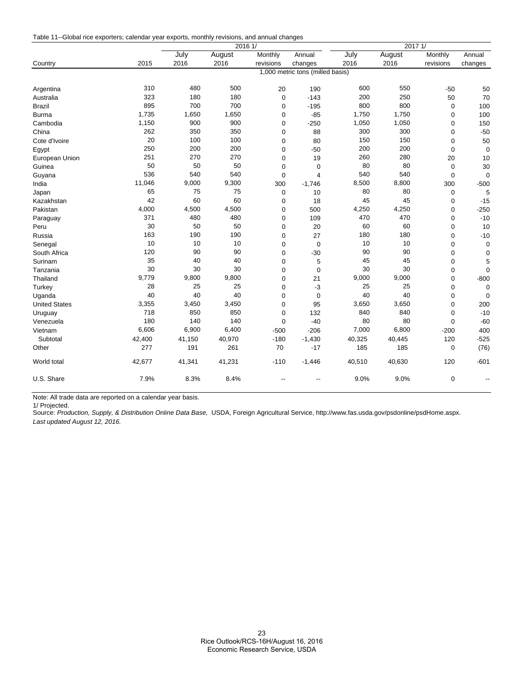|  |  | Table 11--Global rice exporters; calendar year exports, monthly revisions, and annual changes |
|--|--|-----------------------------------------------------------------------------------------------|
|  |  |                                                                                               |

|                      |        | 20161/                           |        |             |                         | 20171/ |        |             |             |  |
|----------------------|--------|----------------------------------|--------|-------------|-------------------------|--------|--------|-------------|-------------|--|
|                      |        | July                             | August | Monthly     | Annual                  | July   | August | Monthly     | Annual      |  |
| Country              | 2015   | 2016                             | 2016   | revisions   | changes                 | 2016   | 2016   | revisions   | changes     |  |
|                      |        | 1,000 metric tons (milled basis) |        |             |                         |        |        |             |             |  |
| Argentina            | 310    | 480                              | 500    | 20          | 190                     | 600    | 550    | $-50$       | 50          |  |
| Australia            | 323    | 180                              | 180    | 0           | $-143$                  | 200    | 250    | 50          | 70          |  |
| <b>Brazil</b>        | 895    | 700                              | 700    | $\mathbf 0$ | $-195$                  | 800    | 800    | 0           | 100         |  |
| <b>Burma</b>         | 1,735  | 1,650                            | 1,650  | 0           | $-85$                   | 1,750  | 1,750  | $\mathbf 0$ | 100         |  |
| Cambodia             | 1,150  | 900                              | 900    | 0           | $-250$                  | 1,050  | 1,050  | $\mathbf 0$ | 150         |  |
| China                | 262    | 350                              | 350    | 0           | 88                      | 300    | 300    | $\mathbf 0$ | $-50$       |  |
| Cote d'Ivoire        | 20     | 100                              | 100    | 0           | 80                      | 150    | 150    | $\mathbf 0$ | 50          |  |
| Egypt                | 250    | 200                              | 200    | 0           | $-50$                   | 200    | 200    | 0           | $\mathbf 0$ |  |
| European Union       | 251    | 270                              | 270    | 0           | 19                      | 260    | 280    | 20          | 10          |  |
| Guinea               | 50     | 50                               | 50     | 0           | $\mathbf 0$             | 80     | 80     | 0           | 30          |  |
| Guyana               | 536    | 540                              | 540    | $\Omega$    | $\overline{\mathbf{4}}$ | 540    | 540    | $\mathbf 0$ | $\mathbf 0$ |  |
| India                | 11,046 | 9,000                            | 9,300  | 300         | $-1,746$                | 8,500  | 8,800  | 300         | $-500$      |  |
| Japan                | 65     | 75                               | 75     | $\mathbf 0$ | 10                      | 80     | 80     | $\mathbf 0$ | 5           |  |
| Kazakhstan           | 42     | 60                               | 60     | 0           | 18                      | 45     | 45     | 0           | $-15$       |  |
| Pakistan             | 4,000  | 4,500                            | 4,500  | 0           | 500                     | 4,250  | 4,250  | 0           | $-250$      |  |
| Paraguay             | 371    | 480                              | 480    | 0           | 109                     | 470    | 470    | 0           | $-10$       |  |
| Peru                 | 30     | 50                               | 50     | 0           | 20                      | 60     | 60     | $\mathbf 0$ | 10          |  |
| Russia               | 163    | 190                              | 190    | 0           | 27                      | 180    | 180    | $\mathbf 0$ | $-10$       |  |
| Senegal              | 10     | 10                               | 10     | 0           | $\mathbf 0$             | 10     | 10     | 0           | $\pmb{0}$   |  |
| South Africa         | 120    | 90                               | 90     | $\mathbf 0$ | $-30$                   | 90     | 90     | $\mathbf 0$ | $\mathbf 0$ |  |
| Surinam              | 35     | 40                               | 40     | 0           | 5                       | 45     | 45     | 0           | 5           |  |
| Tanzania             | 30     | 30                               | 30     | 0           | $\mathbf 0$             | 30     | 30     | 0           | $\mathbf 0$ |  |
| Thailand             | 9,779  | 9,800                            | 9,800  | 0           | 21                      | 9,000  | 9,000  | $\mathbf 0$ | $-800$      |  |
| Turkey               | 28     | 25                               | 25     | 0           | $-3$                    | 25     | 25     | 0           | $\mathbf 0$ |  |
| Uganda               | 40     | 40                               | 40     | 0           | $\mathbf 0$             | 40     | 40     | $\mathbf 0$ | $\mathbf 0$ |  |
| <b>United States</b> | 3,355  | 3,450                            | 3,450  | 0           | 95                      | 3,650  | 3,650  | $\mathbf 0$ | 200         |  |
| Uruguay              | 718    | 850                              | 850    | 0           | 132                     | 840    | 840    | $\mathbf 0$ | $-10$       |  |
| Venezuela            | 180    | 140                              | 140    | $\mathbf 0$ | $-40$                   | 80     | 80     | 0           | $-60$       |  |
| Vietnam              | 6,606  | 6,900                            | 6,400  | $-500$      | $-206$                  | 7,000  | 6,800  | $-200$      | 400         |  |
| Subtotal             | 42,400 | 41,150                           | 40,970 | $-180$      | $-1,430$                | 40,325 | 40,445 | 120         | $-525$      |  |
| Other                | 277    | 191                              | 261    | 70          | $-17$                   | 185    | 185    | 0           | (76)        |  |
| World total          | 42,677 | 41,341                           | 41,231 | $-110$      | $-1,446$                | 40,510 | 40,630 | 120         | $-601$      |  |
| U.S. Share           | 7.9%   | 8.3%                             | 8.4%   |             |                         | 9.0%   | 9.0%   | $\mathbf 0$ |             |  |

Note: All trade data are reported on a calendar year basis.

1/ Projected.

Source: *Production, Supply, & Distribution Online Data Base,* USDA, Foreign Agricultural Service, http://www.fas.usda.gov/psdonline/psdHome.aspx. *Last updated August 12, 2016.*